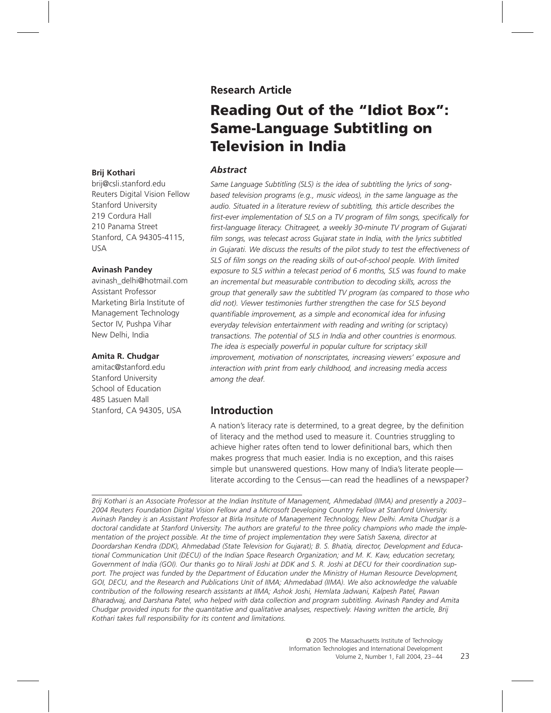## **Research Article**

# **Reading Out of the "Idiot Box": Same-Language Subtitling on Television in India**

#### **Brij Kothari**

brij@csli.stanford.edu Reuters Digital Vision Fellow Stanford University 219 Cordura Hall 210 Panama Street Stanford, CA 94305-4115, USA

#### **Avinash Pandey**

avinash\_delhi@hotmail.com Assistant Professor Marketing Birla Institute of Management Technology Sector IV, Pushpa Vihar New Delhi, India

#### **Amita R. Chudgar**

amitac@stanford.edu Stanford University School of Education 485 Lasuen Mall Stanford, CA 94305, USA

#### **Abstract**

*Same Language Subtitling (SLS) is the idea of subtitling the lyrics of songbased television programs (e.g., music videos), in the same language as the audio. Situated in a literature review of subtitling, this article describes the* first-ever implementation of SLS on a TV program of film songs, specifically for first-language literacy. Chitrageet, a weekly 30-minute TV program of Gujarati film songs, was telecast across Gujarat state in India, with the lyrics subtitled *in Gujarati. We discuss the results of the pilot study to test the effectiveness of* SLS of film songs on the reading skills of out-of-school people. With limited *exposure to SLS within a telecast period of 6 months, SLS was found to make an incremental but measurable contribution to decoding skills, across the group that generally saw the subtitled TV program (as compared to those who did not). Viewer testimonies further strengthen the case for SLS beyond quantiªable improvement, as a simple and economical idea for infusing everyday television entertainment with reading and writing (or* scriptacy) *transactions. The potential of SLS in India and other countries is enormous. The idea is especially powerful in popular culture for scriptacy skill improvement, motivation of nonscriptates, increasing viewers' exposure and interaction with print from early childhood, and increasing media access among the deaf.*

## **Introduction**

A nation's literacy rate is determined, to a great degree, by the definition of literacy and the method used to measure it. Countries struggling to achieve higher rates often tend to lower definitional bars, which then makes progress that much easier. India is no exception, and this raises simple but unanswered questions. How many of India's literate people literate according to the Census—can read the headlines of a newspaper?

*Brij Kothari is an Associate Professor at the Indian Institute of Management, Ahmedabad (IIMA) and presently a 2003– 2004 Reuters Foundation Digital Vision Fellow and a Microsoft Developing Country Fellow at Stanford University. Avinash Pandey is an Assistant Professor at Birla Insitute of Management Technology, New Delhi. Amita Chudgar is a doctoral candidate at Stanford University. The authors are grateful to the three policy champions who made the implementation of the project possible. At the time of project implementation they were Satish Saxena, director at Doordarshan Kendra (DDK), Ahmedabad (State Television for Gujarat); B. S. Bhatia, director, Development and Educational Communication Unit (DECU) of the Indian Space Research Organization; and M. K. Kaw, education secretary, Government of India (GOI). Our thanks go to Nirali Joshi at DDK and S. R. Joshi at DECU for their coordination support. The project was funded by the Department of Education under the Ministry of Human Resource Development, GOI, DECU, and the Research and Publications Unit of IIMA; Ahmedabad (IIMA). We also acknowledge the valuable contribution of the following research assistants at IIMA; Ashok Joshi, Hemlata Jadwani, Kalpesh Patel, Pawan Bharadwaj, and Darshana Patel, who helped with data collection and program subtitling. Avinash Pandey and Amita Chudgar provided inputs for the quantitative and qualitative analyses, respectively. Having written the article, Brij Kothari takes full responsibility for its content and limitations.*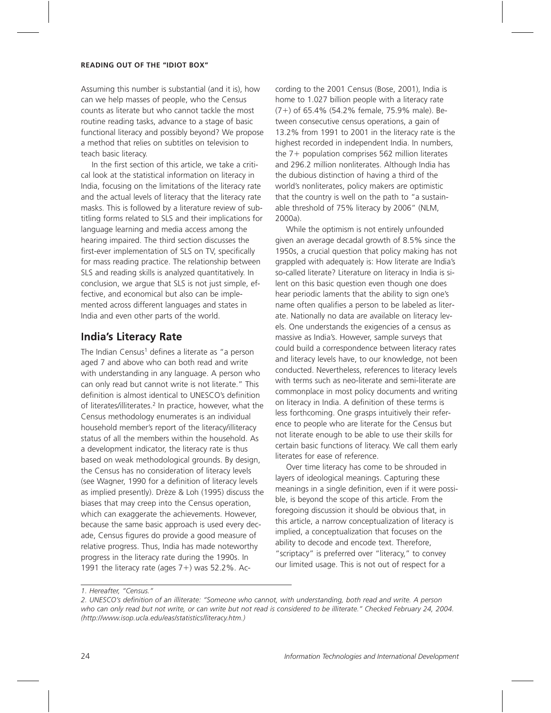Assuming this number is substantial (and it is), how can we help masses of people, who the Census counts as literate but who cannot tackle the most routine reading tasks, advance to a stage of basic functional literacy and possibly beyond? We propose a method that relies on subtitles on television to teach basic literacy.

In the first section of this article, we take a critical look at the statistical information on literacy in India, focusing on the limitations of the literacy rate and the actual levels of literacy that the literacy rate masks. This is followed by a literature review of subtitling forms related to SLS and their implications for language learning and media access among the hearing impaired. The third section discusses the first-ever implementation of SLS on TV, specifically for mass reading practice. The relationship between SLS and reading skills is analyzed quantitatively. In conclusion, we argue that SLS is not just simple, effective, and economical but also can be implemented across different languages and states in India and even other parts of the world.

## **India's Literacy Rate**

The Indian Census<sup>1</sup> defines a literate as "a person aged 7 and above who can both read and write with understanding in any language. A person who can only read but cannot write is not literate." This definition is almost identical to UNESCO's definition of literates/illiterates.<sup>2</sup> In practice, however, what the Census methodology enumerates is an individual household member's report of the literacy/illiteracy status of all the members within the household. As a development indicator, the literacy rate is thus based on weak methodological grounds. By design, the Census has no consideration of literacy levels (see Wagner, 1990 for a definition of literacy levels as implied presently). Drèze & Loh (1995) discuss the biases that may creep into the Census operation, which can exaggerate the achievements. However, because the same basic approach is used every decade, Census figures do provide a good measure of relative progress. Thus, India has made noteworthy progress in the literacy rate during the 1990s. In 1991 the literacy rate (ages  $7+)$  was 52.2%. Ac-

cording to the 2001 Census (Bose, 2001), India is home to 1.027 billion people with a literacy rate (7-) of 65.4% (54.2% female, 75.9% male). Between consecutive census operations, a gain of 13.2% from 1991 to 2001 in the literacy rate is the highest recorded in independent India. In numbers, the 7+ population comprises 562 million literates and 296.2 million nonliterates. Although India has the dubious distinction of having a third of the world's nonliterates, policy makers are optimistic that the country is well on the path to "a sustainable threshold of 75% literacy by 2006" (NLM, 2000a).

While the optimism is not entirely unfounded given an average decadal growth of 8.5% since the 1950s, a crucial question that policy making has not grappled with adequately is: How literate are India's so-called literate? Literature on literacy in India is silent on this basic question even though one does hear periodic laments that the ability to sign one's name often qualifies a person to be labeled as literate. Nationally no data are available on literacy levels. One understands the exigencies of a census as massive as India's. However, sample surveys that could build a correspondence between literacy rates and literacy levels have, to our knowledge, not been conducted. Nevertheless, references to literacy levels with terms such as neo-literate and semi-literate are commonplace in most policy documents and writing on literacy in India. A definition of these terms is less forthcoming. One grasps intuitively their reference to people who are literate for the Census but not literate enough to be able to use their skills for certain basic functions of literacy. We call them early literates for ease of reference.

Over time literacy has come to be shrouded in layers of ideological meanings. Capturing these meanings in a single definition, even if it were possible, is beyond the scope of this article. From the foregoing discussion it should be obvious that, in this article, a narrow conceptualization of literacy is implied, a conceptualization that focuses on the ability to decode and encode text. Therefore, "scriptacy" is preferred over "literacy," to convey our limited usage. This is not out of respect for a

*<sup>1.</sup> Hereafter, "Census."*

*<sup>2.</sup> UNESCO's deªnition of an illiterate: "Someone who cannot, with understanding, both read and write. A person who can only read but not write, or can write but not read is considered to be illiterate." Checked February 24, 2004. (http://www.isop.ucla.edu/eas/statistics/literacy.htm.)*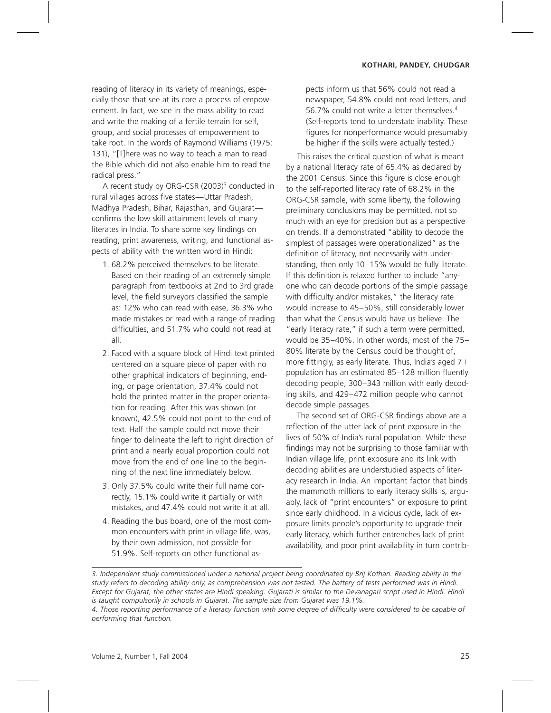reading of literacy in its variety of meanings, especially those that see at its core a process of empowerment. In fact, we see in the mass ability to read and write the making of a fertile terrain for self, group, and social processes of empowerment to take root. In the words of Raymond Williams (1975: 131), "[T]here was no way to teach a man to read the Bible which did not also enable him to read the radical press."

A recent study by ORG-CSR (2003)3 conducted in rural villages across five states—Uttar Pradesh, Madhya Pradesh, Bihar, Rajasthan, and Gujarat confirms the low skill attainment levels of many literates in India. To share some key findings on reading, print awareness, writing, and functional aspects of ability with the written word in Hindi:

- 1. 68.2% perceived themselves to be literate. Based on their reading of an extremely simple paragraph from textbooks at 2nd to 3rd grade level, the field surveyors classified the sample as: 12% who can read with ease, 36.3% who made mistakes or read with a range of reading difficulties, and 51.7% who could not read at all.
- 2. Faced with a square block of Hindi text printed centered on a square piece of paper with no other graphical indicators of beginning, ending, or page orientation, 37.4% could not hold the printed matter in the proper orientation for reading. After this was shown (or known), 42.5% could not point to the end of text. Half the sample could not move their finger to delineate the left to right direction of print and a nearly equal proportion could not move from the end of one line to the beginning of the next line immediately below.
- 3. Only 37.5% could write their full name correctly, 15.1% could write it partially or with mistakes, and 47.4% could not write it at all.
- 4. Reading the bus board, one of the most common encounters with print in village life, was, by their own admission, not possible for 51.9%. Self-reports on other functional as-

pects inform us that 56% could not read a newspaper, 54.8% could not read letters, and 56.7% could not write a letter themselves.4 (Self-reports tend to understate inability. These figures for nonperformance would presumably be higher if the skills were actually tested.)

This raises the critical question of what is meant by a national literacy rate of 65.4% as declared by the 2001 Census. Since this figure is close enough to the self-reported literacy rate of 68.2% in the ORG-CSR sample, with some liberty, the following preliminary conclusions may be permitted, not so much with an eye for precision but as a perspective on trends. If a demonstrated "ability to decode the simplest of passages were operationalized" as the definition of literacy, not necessarily with understanding, then only 10–15% would be fully literate. If this definition is relaxed further to include "anyone who can decode portions of the simple passage with difficulty and/or mistakes," the literacy rate would increase to 45–50%, still considerably lower than what the Census would have us believe. The "early literacy rate," if such a term were permitted, would be 35–40%. In other words, most of the 75– 80% literate by the Census could be thought of, more fittingly, as early literate. Thus, India's aged  $7+$ population has an estimated 85-128 million fluently decoding people, 300–343 million with early decoding skills, and 429–472 million people who cannot decode simple passages.

The second set of ORG-CSR findings above are a reflection of the utter lack of print exposure in the lives of 50% of India's rural population. While these findings may not be surprising to those familiar with Indian village life, print exposure and its link with decoding abilities are understudied aspects of literacy research in India. An important factor that binds the mammoth millions to early literacy skills is, arguably, lack of "print encounters" or exposure to print since early childhood. In a vicious cycle, lack of exposure limits people's opportunity to upgrade their early literacy, which further entrenches lack of print availability, and poor print availability in turn contrib-

*<sup>3.</sup> Independent study commissioned under a national project being coordinated by Brij Kothari. Reading ability in the study refers to decoding ability only, as comprehension was not tested. The battery of tests performed was in Hindi. Except for Gujarat, the other states are Hindi speaking. Gujarati is similar to the Devanagari script used in Hindi. Hindi is taught compulsorily in schools in Gujarat. The sample size from Gujarat was 19.1%.*

<sup>4.</sup> Those reporting performance of a literacy function with some degree of difficulty were considered to be capable of *performing that function.*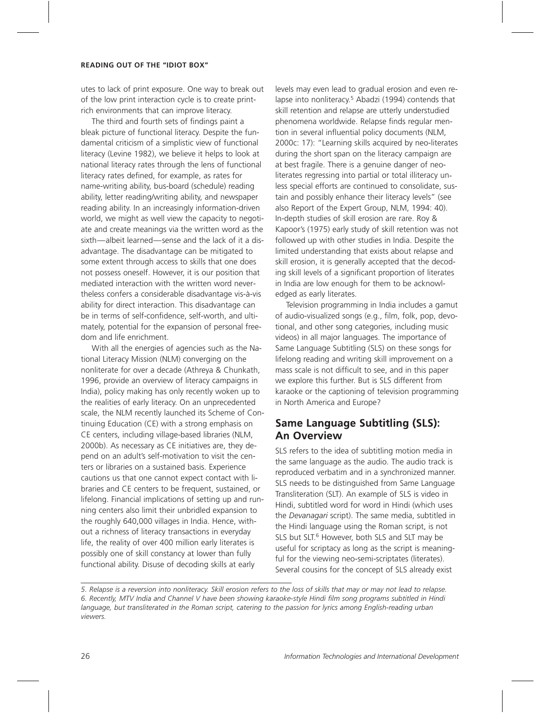utes to lack of print exposure. One way to break out of the low print interaction cycle is to create printrich environments that can improve literacy.

The third and fourth sets of findings paint a bleak picture of functional literacy. Despite the fundamental criticism of a simplistic view of functional literacy (Levine 1982), we believe it helps to look at national literacy rates through the lens of functional literacy rates defined, for example, as rates for name-writing ability, bus-board (schedule) reading ability, letter reading/writing ability, and newspaper reading ability. In an increasingly information-driven world, we might as well view the capacity to negotiate and create meanings via the written word as the sixth—albeit learned—sense and the lack of it a disadvantage. The disadvantage can be mitigated to some extent through access to skills that one does not possess oneself. However, it is our position that mediated interaction with the written word nevertheless confers a considerable disadvantage vis-à-vis ability for direct interaction. This disadvantage can be in terms of self-confidence, self-worth, and ultimately, potential for the expansion of personal freedom and life enrichment.

With all the energies of agencies such as the National Literacy Mission (NLM) converging on the nonliterate for over a decade (Athreya & Chunkath, 1996, provide an overview of literacy campaigns in India), policy making has only recently woken up to the realities of early literacy. On an unprecedented scale, the NLM recently launched its Scheme of Continuing Education (CE) with a strong emphasis on CE centers, including village-based libraries (NLM, 2000b). As necessary as CE initiatives are, they depend on an adult's self-motivation to visit the centers or libraries on a sustained basis. Experience cautions us that one cannot expect contact with libraries and CE centers to be frequent, sustained, or lifelong. Financial implications of setting up and running centers also limit their unbridled expansion to the roughly 640,000 villages in India. Hence, without a richness of literacy transactions in everyday life, the reality of over 400 million early literates is possibly one of skill constancy at lower than fully functional ability. Disuse of decoding skills at early

levels may even lead to gradual erosion and even relapse into nonliteracy.<sup>5</sup> Abadzi (1994) contends that skill retention and relapse are utterly understudied phenomena worldwide. Relapse finds regular mention in several influential policy documents (NLM, 2000c: 17): "Learning skills acquired by neo-literates during the short span on the literacy campaign are at best fragile. There is a genuine danger of neoliterates regressing into partial or total illiteracy unless special efforts are continued to consolidate, sustain and possibly enhance their literacy levels" (see also Report of the Expert Group, NLM, 1994: 40). In-depth studies of skill erosion are rare. Roy & Kapoor's (1975) early study of skill retention was not followed up with other studies in India. Despite the limited understanding that exists about relapse and skill erosion, it is generally accepted that the decoding skill levels of a significant proportion of literates in India are low enough for them to be acknowledged as early literates.

Television programming in India includes a gamut of audio-visualized songs (e.g., film, folk, pop, devotional, and other song categories, including music videos) in all major languages. The importance of Same Language Subtitling (SLS) on these songs for lifelong reading and writing skill improvement on a mass scale is not difficult to see, and in this paper we explore this further. But is SLS different from karaoke or the captioning of television programming in North America and Europe?

## **Same Language Subtitling (SLS): An Overview**

SLS refers to the idea of subtitling motion media in the same language as the audio. The audio track is reproduced verbatim and in a synchronized manner. SLS needs to be distinguished from Same Language Transliteration (SLT). An example of SLS is video in Hindi, subtitled word for word in Hindi (which uses the *Devanagari* script). The same media, subtitled in the Hindi language using the Roman script, is not SLS but SLT.<sup>6</sup> However, both SLS and SLT may be useful for scriptacy as long as the script is meaningful for the viewing neo-semi-scriptates (literates). Several cousins for the concept of SLS already exist

*<sup>5.</sup> Relapse is a reversion into nonliteracy. Skill erosion refers to the loss of skills that may or may not lead to relapse. 6. Recently, MTV India and Channel V have been showing karaoke-style Hindi ªlm song programs subtitled in Hindi language, but transliterated in the Roman script, catering to the passion for lyrics among English-reading urban viewers.*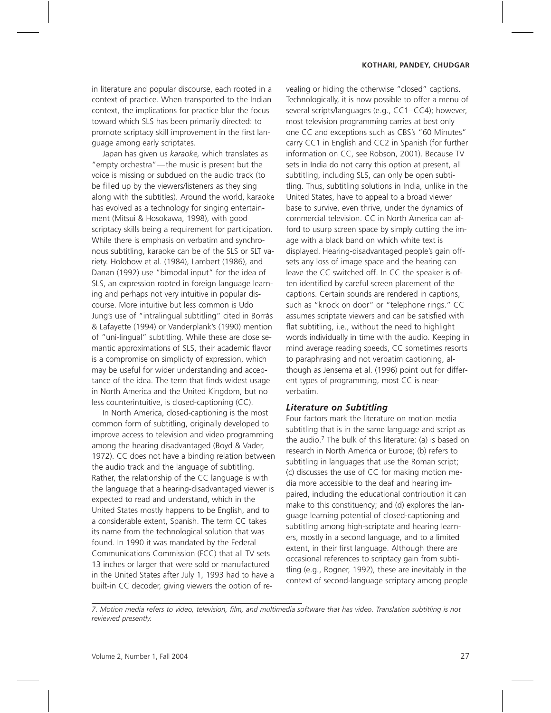in literature and popular discourse, each rooted in a context of practice. When transported to the Indian context, the implications for practice blur the focus toward which SLS has been primarily directed: to promote scriptacy skill improvement in the first language among early scriptates.

Japan has given us *karaoke,* which translates as "empty orchestra"—the music is present but the voice is missing or subdued on the audio track (to be filled up by the viewers/listeners as they sing along with the subtitles). Around the world, karaoke has evolved as a technology for singing entertainment (Mitsui & Hosokawa, 1998), with good scriptacy skills being a requirement for participation. While there is emphasis on verbatim and synchronous subtitling, karaoke can be of the SLS or SLT variety. Holobow et al. (1984), Lambert (1986), and Danan (1992) use "bimodal input" for the idea of SLS, an expression rooted in foreign language learning and perhaps not very intuitive in popular discourse. More intuitive but less common is Udo Jung's use of "intralingual subtitling" cited in Borrás & Lafayette (1994) or Vanderplank's (1990) mention of "uni-lingual" subtitling. While these are close semantic approximations of SLS, their academic flavor is a compromise on simplicity of expression, which may be useful for wider understanding and acceptance of the idea. The term that finds widest usage in North America and the United Kingdom, but no less counterintuitive, is closed-captioning (CC).

In North America, closed-captioning is the most common form of subtitling, originally developed to improve access to television and video programming among the hearing disadvantaged (Boyd & Vader, 1972). CC does not have a binding relation between the audio track and the language of subtitling. Rather, the relationship of the CC language is with the language that a hearing-disadvantaged viewer is expected to read and understand, which in the United States mostly happens to be English, and to a considerable extent, Spanish. The term CC takes its name from the technological solution that was found. In 1990 it was mandated by the Federal Communications Commission (FCC) that all TV sets 13 inches or larger that were sold or manufactured in the United States after July 1, 1993 had to have a built-in CC decoder, giving viewers the option of revealing or hiding the otherwise "closed" captions. Technologically, it is now possible to offer a menu of several scripts/languages (e.g., CC1–CC4); however, most television programming carries at best only one CC and exceptions such as CBS's "60 Minutes" carry CC1 in English and CC2 in Spanish (for further information on CC, see Robson, 2001). Because TV sets in India do not carry this option at present, all subtitling, including SLS, can only be open subtitling. Thus, subtitling solutions in India, unlike in the United States, have to appeal to a broad viewer base to survive, even thrive, under the dynamics of commercial television. CC in North America can afford to usurp screen space by simply cutting the image with a black band on which white text is displayed. Hearing-disadvantaged people's gain offsets any loss of image space and the hearing can leave the CC switched off. In CC the speaker is often identified by careful screen placement of the captions. Certain sounds are rendered in captions, such as "knock on door" or "telephone rings." CC assumes scriptate viewers and can be satisfied with flat subtitling, i.e., without the need to highlight words individually in time with the audio. Keeping in mind average reading speeds, CC sometimes resorts to paraphrasing and not verbatim captioning, although as Jensema et al. (1996) point out for different types of programming, most CC is nearverbatim.

#### **Literature on Subtitling**

Four factors mark the literature on motion media subtitling that is in the same language and script as the audio.<sup>7</sup> The bulk of this literature: (a) is based on research in North America or Europe; (b) refers to subtitling in languages that use the Roman script; (c) discusses the use of CC for making motion media more accessible to the deaf and hearing impaired, including the educational contribution it can make to this constituency; and (d) explores the language learning potential of closed-captioning and subtitling among high-scriptate and hearing learners, mostly in a second language, and to a limited extent, in their first language. Although there are occasional references to scriptacy gain from subtitling (e.g., Rogner, 1992), these are inevitably in the context of second-language scriptacy among people

*7. Motion media refers to video, television, ªlm, and multimedia software that has video. Translation subtitling is not reviewed presently.*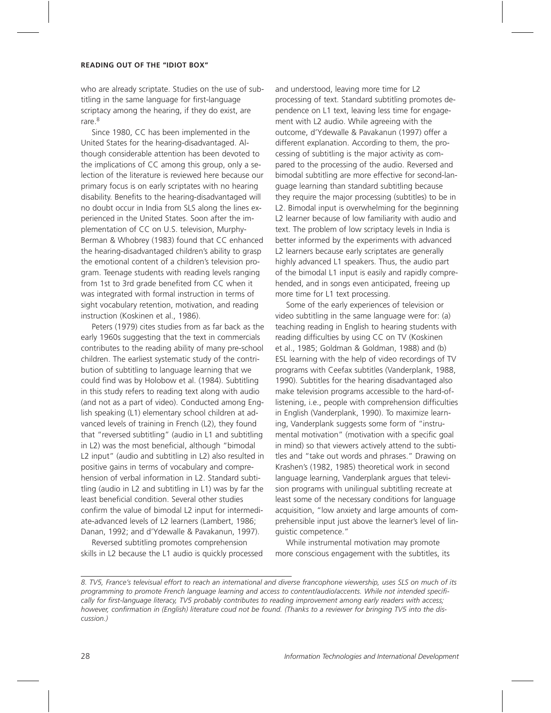who are already scriptate. Studies on the use of subtitling in the same language for first-language scriptacy among the hearing, if they do exist, are rare.<sup>8</sup>

Since 1980, CC has been implemented in the United States for the hearing-disadvantaged. Although considerable attention has been devoted to the implications of CC among this group, only a selection of the literature is reviewed here because our primary focus is on early scriptates with no hearing disability. Benefits to the hearing-disadvantaged will no doubt occur in India from SLS along the lines experienced in the United States. Soon after the implementation of CC on U.S. television, Murphy-Berman & Whobrey (1983) found that CC enhanced the hearing-disadvantaged children's ability to grasp the emotional content of a children's television program. Teenage students with reading levels ranging from 1st to 3rd grade benefited from CC when it was integrated with formal instruction in terms of sight vocabulary retention, motivation, and reading instruction (Koskinen et al., 1986).

Peters (1979) cites studies from as far back as the early 1960s suggesting that the text in commercials contributes to the reading ability of many pre-school children. The earliest systematic study of the contribution of subtitling to language learning that we could find was by Holobow et al. (1984). Subtitling in this study refers to reading text along with audio (and not as a part of video). Conducted among English speaking (L1) elementary school children at advanced levels of training in French (L2), they found that "reversed subtitling" (audio in L1 and subtitling in L2) was the most beneficial, although "bimodal L2 input" (audio and subtitling in L2) also resulted in positive gains in terms of vocabulary and comprehension of verbal information in L2. Standard subtitling (audio in L2 and subtitling in L1) was by far the least beneficial condition. Several other studies confirm the value of bimodal L2 input for intermediate-advanced levels of L2 learners (Lambert, 1986; Danan, 1992; and d'Ydewalle & Pavakanun, 1997).

Reversed subtitling promotes comprehension skills in L2 because the L1 audio is quickly processed and understood, leaving more time for L2 processing of text. Standard subtitling promotes dependence on L1 text, leaving less time for engagement with L2 audio. While agreeing with the outcome, d'Ydewalle & Pavakanun (1997) offer a different explanation. According to them, the processing of subtitling is the major activity as compared to the processing of the audio. Reversed and bimodal subtitling are more effective for second-language learning than standard subtitling because they require the major processing (subtitles) to be in L2. Bimodal input is overwhelming for the beginning L2 learner because of low familiarity with audio and text. The problem of low scriptacy levels in India is better informed by the experiments with advanced L2 learners because early scriptates are generally highly advanced L1 speakers. Thus, the audio part of the bimodal L1 input is easily and rapidly comprehended, and in songs even anticipated, freeing up more time for L1 text processing.

Some of the early experiences of television or video subtitling in the same language were for: (a) teaching reading in English to hearing students with reading difficulties by using CC on TV (Koskinen et al., 1985; Goldman & Goldman, 1988) and (b) ESL learning with the help of video recordings of TV programs with Ceefax subtitles (Vanderplank, 1988, 1990). Subtitles for the hearing disadvantaged also make television programs accessible to the hard-oflistening, i.e., people with comprehension difficulties in English (Vanderplank, 1990). To maximize learning, Vanderplank suggests some form of "instrumental motivation" (motivation with a specific goal in mind) so that viewers actively attend to the subtitles and "take out words and phrases." Drawing on Krashen's (1982, 1985) theoretical work in second language learning, Vanderplank argues that television programs with unilingual subtitling recreate at least some of the necessary conditions for language acquisition, "low anxiety and large amounts of comprehensible input just above the learner's level of linguistic competence."

While instrumental motivation may promote more conscious engagement with the subtitles, its

*<sup>8.</sup> TV5, France's televisual effort to reach an international and diverse francophone viewership, uses SLS on much of its* programming to promote French language learning and access to content/audio/accents. While not intended specifically for first-language literacy, TV5 probably contributes to reading improvement among early readers with access; however, confirmation in (English) literature coud not be found. (Thanks to a reviewer for bringing TV5 into the dis*cussion.)*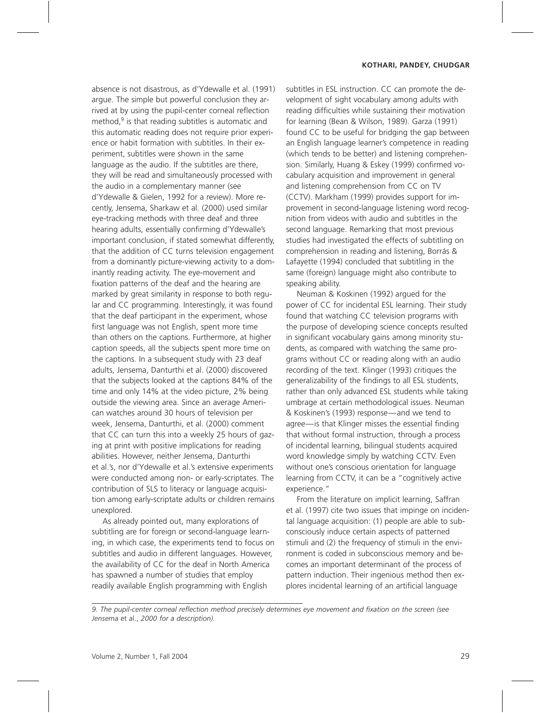absence is not disastrous, as d'Ydewalle et al. (1991) argue. The simple but powerful conclusion they arrived at by using the pupil-center corneal reflection method, $9$  is that reading subtitles is automatic and this automatic reading does not require prior experience or habit formation with subtitles. In their experiment, subtitles were shown in the same language as the audio. If the subtitles are there, they will be read and simultaneously processed with the audio in a complementary manner (see d'Ydewalle & Gielen, 1992 for a review). More recently, Jensema, Sharkaw et al. (2000) used similar eye-tracking methods with three deaf and three hearing adults, essentially confirming d'Ydewalle's important conclusion, if stated somewhat differently, that the addition of CC turns television engagement from a dominantly picture-viewing activity to a dominantly reading activity. The eye-movement and fixation patterns of the deaf and the hearing are marked by great similarity in response to both regular and CC programming. Interestingly, it was found that the deaf participant in the experiment, whose first language was not English, spent more time than others on the captions. Furthermore, at higher caption speeds, all the subjects spent more time on the captions. In a subsequent study with 23 deaf adults, Jensema, Danturthi et al. (2000) discovered that the subjects looked at the captions 84% of the time and only 14% at the video picture, 2% being outside the viewing area. Since an average American watches around 30 hours of television per week, Jensema, Danturthi, et al. (2000) comment that CC can turn this into a weekly 25 hours of gazing at print with positive implications for reading abilities. However, neither Jensema, Danturthi et al.'s, nor d'Ydewalle et al.'s extensive experiments were conducted among non- or early-scriptates. The contribution of SLS to literacy or language acquisition among early-scriptate adults or children remains unexplored.

As already pointed out, many explorations of subtitling are for foreign or second-language learning, in which case, the experiments tend to focus on subtitles and audio in different languages. However, the availability of CC for the deaf in North America has spawned a number of studies that employ readily available English programming with English

subtitles in ESL instruction. CC can promote the development of sight vocabulary among adults with reading difficulties while sustaining their motivation for learning (Bean & Wilson, 1989). Garza (1991) found CC to be useful for bridging the gap between an English language learner's competence in reading (which tends to be better) and listening comprehension. Similarly, Huang & Eskey (1999) confirmed vocabulary acquisition and improvement in general and listening comprehension from CC on TV (CCTV). Markham (1999) provides support for improvement in second-language listening word recognition from videos with audio and subtitles in the second language. Remarking that most previous studies had investigated the effects of subtitling on comprehension in reading and listening, Borrás & Lafayette (1994) concluded that subtitling in the same (foreign) language might also contribute to speaking ability.

Neuman & Koskinen (1992) argued for the power of CC for incidental ESL learning. Their study found that watching CC television programs with the purpose of developing science concepts resulted in significant vocabulary gains among minority students, as compared with watching the same programs without CC or reading along with an audio recording of the text. Klinger (1993) critiques the generalizability of the findings to all ESL students, rather than only advanced ESL students while taking umbrage at certain methodological issues. Neuman & Koskinen's (1993) response—and we tend to agree—is that Klinger misses the essential finding that without formal instruction, through a process of incidental learning, bilingual students acquired word knowledge simply by watching CCTV. Even without one's conscious orientation for language learning from CCTV, it can be a "cognitively active experience."

From the literature on implicit learning, Saffran et al. (1997) cite two issues that impinge on incidental language acquisition: (1) people are able to subconsciously induce certain aspects of patterned stimuli and (2) the frequency of stimuli in the environment is coded in subconscious memory and becomes an important determinant of the process of pattern induction. Their ingenious method then explores incidental learning of an artificial language

*<sup>9.</sup> The pupil-center corneal reflection method precisely determines eye movement and fixation on the screen (see Jensema* et al., *2000 for a description).*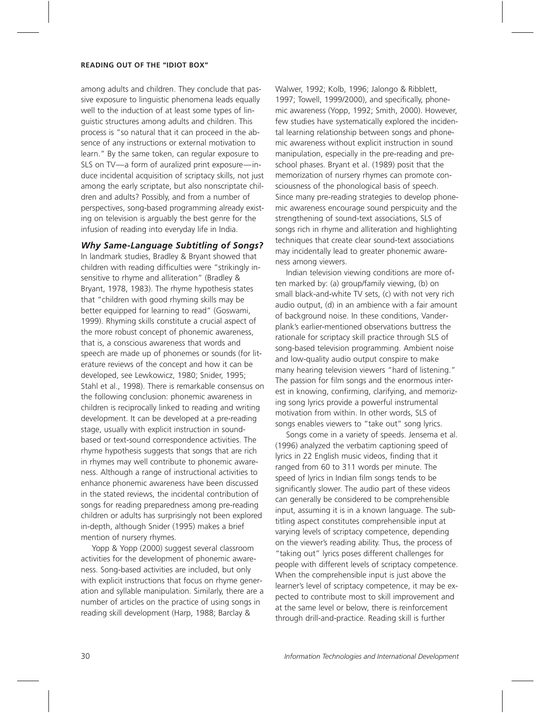among adults and children. They conclude that passive exposure to linguistic phenomena leads equally well to the induction of at least some types of linguistic structures among adults and children. This process is "so natural that it can proceed in the absence of any instructions or external motivation to learn." By the same token, can regular exposure to SLS on TV—a form of auralized print exposure—induce incidental acquisition of scriptacy skills, not just among the early scriptate, but also nonscriptate children and adults? Possibly, and from a number of perspectives, song-based programming already existing on television is arguably the best genre for the infusion of reading into everyday life in India.

#### **Why Same-Language Subtitling of Songs?**

In landmark studies, Bradley & Bryant showed that children with reading difficulties were "strikingly insensitive to rhyme and alliteration" (Bradley & Bryant, 1978, 1983). The rhyme hypothesis states that "children with good rhyming skills may be better equipped for learning to read" (Goswami, 1999). Rhyming skills constitute a crucial aspect of the more robust concept of phonemic awareness, that is, a conscious awareness that words and speech are made up of phonemes or sounds (for literature reviews of the concept and how it can be developed, see Lewkowicz, 1980; Snider, 1995; Stahl et al., 1998). There is remarkable consensus on the following conclusion: phonemic awareness in children is reciprocally linked to reading and writing development. It can be developed at a pre-reading stage, usually with explicit instruction in soundbased or text-sound correspondence activities. The rhyme hypothesis suggests that songs that are rich in rhymes may well contribute to phonemic awareness. Although a range of instructional activities to enhance phonemic awareness have been discussed in the stated reviews, the incidental contribution of songs for reading preparedness among pre-reading children or adults has surprisingly not been explored in-depth, although Snider (1995) makes a brief mention of nursery rhymes.

Yopp & Yopp (2000) suggest several classroom activities for the development of phonemic awareness. Song-based activities are included, but only with explicit instructions that focus on rhyme generation and syllable manipulation. Similarly, there are a number of articles on the practice of using songs in reading skill development (Harp, 1988; Barclay &

Walwer, 1992; Kolb, 1996; Jalongo & Ribblett, 1997; Towell, 1999/2000), and specifically, phonemic awareness (Yopp, 1992; Smith, 2000). However, few studies have systematically explored the incidental learning relationship between songs and phonemic awareness without explicit instruction in sound manipulation, especially in the pre-reading and preschool phases. Bryant et al. (1989) posit that the memorization of nursery rhymes can promote consciousness of the phonological basis of speech. Since many pre-reading strategies to develop phonemic awareness encourage sound perspicuity and the strengthening of sound-text associations, SLS of songs rich in rhyme and alliteration and highlighting techniques that create clear sound-text associations may incidentally lead to greater phonemic awareness among viewers.

Indian television viewing conditions are more often marked by: (a) group/family viewing, (b) on small black-and-white TV sets, (c) with not very rich audio output, (d) in an ambience with a fair amount of background noise. In these conditions, Vanderplank's earlier-mentioned observations buttress the rationale for scriptacy skill practice through SLS of song-based television programming. Ambient noise and low-quality audio output conspire to make many hearing television viewers "hard of listening." The passion for film songs and the enormous interest in knowing, confirming, clarifying, and memorizing song lyrics provide a powerful instrumental motivation from within. In other words, SLS of songs enables viewers to "take out" song lyrics.

Songs come in a variety of speeds. Jensema et al. (1996) analyzed the verbatim captioning speed of lyrics in 22 English music videos, finding that it ranged from 60 to 311 words per minute. The speed of lyrics in Indian film songs tends to be significantly slower. The audio part of these videos can generally be considered to be comprehensible input, assuming it is in a known language. The subtitling aspect constitutes comprehensible input at varying levels of scriptacy competence, depending on the viewer's reading ability. Thus, the process of "taking out" lyrics poses different challenges for people with different levels of scriptacy competence. When the comprehensible input is just above the learner's level of scriptacy competence, it may be expected to contribute most to skill improvement and at the same level or below, there is reinforcement through drill-and-practice. Reading skill is further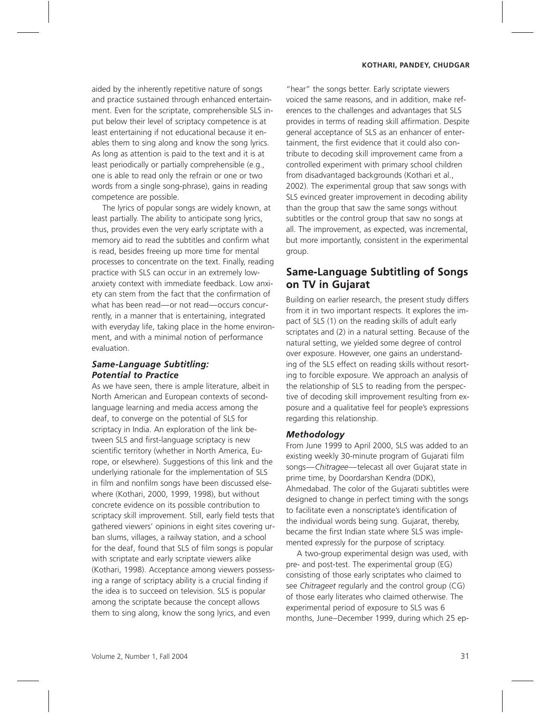aided by the inherently repetitive nature of songs and practice sustained through enhanced entertainment. Even for the scriptate, comprehensible SLS input below their level of scriptacy competence is at least entertaining if not educational because it enables them to sing along and know the song lyrics. As long as attention is paid to the text and it is at least periodically or partially comprehensible (e.g., one is able to read only the refrain or one or two words from a single song-phrase), gains in reading competence are possible.

The lyrics of popular songs are widely known, at least partially. The ability to anticipate song lyrics, thus, provides even the very early scriptate with a memory aid to read the subtitles and confirm what is read, besides freeing up more time for mental processes to concentrate on the text. Finally, reading practice with SLS can occur in an extremely lowanxiety context with immediate feedback. Low anxiety can stem from the fact that the confirmation of what has been read—or not read—occurs concurrently, in a manner that is entertaining, integrated with everyday life, taking place in the home environment, and with a minimal notion of performance evaluation.

### **Same-Language Subtitling: Potential to Practice**

As we have seen, there is ample literature, albeit in North American and European contexts of secondlanguage learning and media access among the deaf, to converge on the potential of SLS for scriptacy in India. An exploration of the link between SLS and first-language scriptacy is new scientific territory (whether in North America, Europe, or elsewhere). Suggestions of this link and the underlying rationale for the implementation of SLS in film and nonfilm songs have been discussed elsewhere (Kothari, 2000, 1999, 1998), but without concrete evidence on its possible contribution to scriptacy skill improvement. Still, early field tests that gathered viewers' opinions in eight sites covering urban slums, villages, a railway station, and a school for the deaf, found that SLS of film songs is popular with scriptate and early scriptate viewers alike (Kothari, 1998). Acceptance among viewers possessing a range of scriptacy ability is a crucial finding if the idea is to succeed on television. SLS is popular among the scriptate because the concept allows them to sing along, know the song lyrics, and even

"hear" the songs better. Early scriptate viewers voiced the same reasons, and in addition, make references to the challenges and advantages that SLS provides in terms of reading skill affirmation. Despite general acceptance of SLS as an enhancer of entertainment, the first evidence that it could also contribute to decoding skill improvement came from a controlled experiment with primary school children from disadvantaged backgrounds (Kothari et al., 2002). The experimental group that saw songs with SLS evinced greater improvement in decoding ability than the group that saw the same songs without subtitles or the control group that saw no songs at all. The improvement, as expected, was incremental, but more importantly, consistent in the experimental group.

## **Same-Language Subtitling of Songs** on TV in Gujarat

Building on earlier research, the present study differs from it in two important respects. It explores the impact of SLS (1) on the reading skills of adult early scriptates and (2) in a natural setting. Because of the natural setting, we yielded some degree of control over exposure. However, one gains an understanding of the SLS effect on reading skills without resorting to forcible exposure. We approach an analysis of the relationship of SLS to reading from the perspective of decoding skill improvement resulting from exposure and a qualitative feel for people's expressions regarding this relationship.

### **Methodology**

From June 1999 to April 2000, SLS was added to an existing weekly 30-minute program of Gujarati film songs—*Chitragee—*telecast all over Gujarat state in prime time, by Doordarshan Kendra (DDK), Ahmedabad. The color of the Gujarati subtitles were designed to change in perfect timing with the songs to facilitate even a nonscriptate's identification of the individual words being sung. Gujarat, thereby, became the first Indian state where SLS was implemented expressly for the purpose of scriptacy.

A two-group experimental design was used, with pre- and post-test. The experimental group (EG) consisting of those early scriptates who claimed to see *Chitrageet* regularly and the control group (CG) of those early literates who claimed otherwise. The experimental period of exposure to SLS was 6 months, June–December 1999, during which 25 ep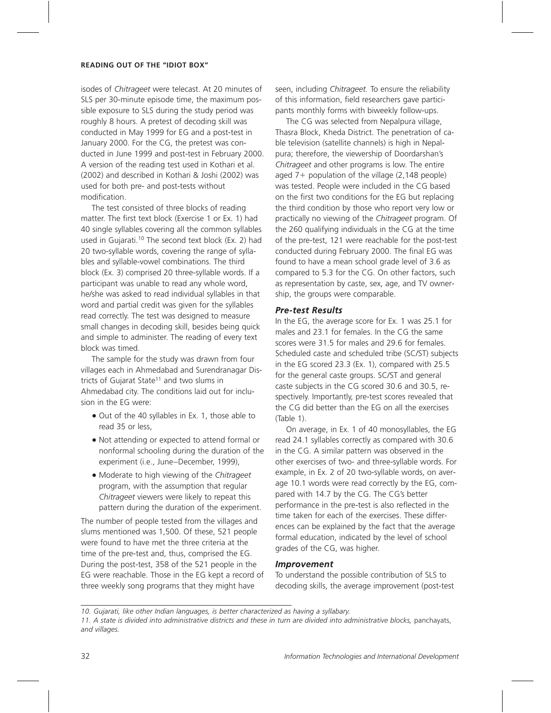isodes of *Chitrageet* were telecast. At 20 minutes of SLS per 30-minute episode time, the maximum possible exposure to SLS during the study period was roughly 8 hours. A pretest of decoding skill was conducted in May 1999 for EG and a post-test in January 2000. For the CG, the pretest was conducted in June 1999 and post-test in February 2000. A version of the reading test used in Kothari et al. (2002) and described in Kothari & Joshi (2002) was used for both pre- and post-tests without modification.

The test consisted of three blocks of reading matter. The first text block (Exercise 1 or Ex. 1) had 40 single syllables covering all the common syllables used in Gujarati.<sup>10</sup> The second text block (Ex. 2) had 20 two-syllable words, covering the range of syllables and syllable-vowel combinations. The third block (Ex. 3) comprised 20 three-syllable words. If a participant was unable to read any whole word, he/she was asked to read individual syllables in that word and partial credit was given for the syllables read correctly. The test was designed to measure small changes in decoding skill, besides being quick and simple to administer. The reading of every text block was timed.

The sample for the study was drawn from four villages each in Ahmedabad and Surendranagar Districts of Gujarat State<sup>11</sup> and two slums in Ahmedabad city. The conditions laid out for inclusion in the EG were:

- Out of the 40 syllables in Ex. 1, those able to read 35 or less,
- Not attending or expected to attend formal or nonformal schooling during the duration of the experiment (i.e., June–December, 1999),
- Moderate to high viewing of the *Chitrageet* program, with the assumption that regular *Chitrageet* viewers were likely to repeat this pattern during the duration of the experiment.

The number of people tested from the villages and slums mentioned was 1,500. Of these, 521 people were found to have met the three criteria at the time of the pre-test and, thus, comprised the EG. During the post-test, 358 of the 521 people in the EG were reachable. Those in the EG kept a record of three weekly song programs that they might have

seen, including *Chitrageet.* To ensure the reliability of this information, field researchers gave participants monthly forms with biweekly follow-ups.

The CG was selected from Nepalpura village, Thasra Block, Kheda District. The penetration of cable television (satellite channels) is high in Nepalpura; therefore, the viewership of Doordarshan's *Chitrageet* and other programs is low. The entire aged 7+ population of the village (2,148 people) was tested. People were included in the CG based on the first two conditions for the EG but replacing the third condition by those who report very low or practically no viewing of the *Chitrageet* program. Of the 260 qualifying individuals in the CG at the time of the pre-test, 121 were reachable for the post-test conducted during February 2000. The final EG was found to have a mean school grade level of 3.6 as compared to 5.3 for the CG. On other factors, such as representation by caste, sex, age, and TV ownership, the groups were comparable.

### **Pre-test Results**

In the EG, the average score for Ex. 1 was 25.1 for males and 23.1 for females. In the CG the same scores were 31.5 for males and 29.6 for females. Scheduled caste and scheduled tribe (SC/ST) subjects in the EG scored 23.3 (Ex. 1), compared with 25.5 for the general caste groups. SC/ST and general caste subjects in the CG scored 30.6 and 30.5, respectively. Importantly, pre-test scores revealed that the CG did better than the EG on all the exercises (Table 1).

On average, in Ex. 1 of 40 monosyllables, the EG read 24.1 syllables correctly as compared with 30.6 in the CG. A similar pattern was observed in the other exercises of two- and three-syllable words. For example, in Ex. 2 of 20 two-syllable words, on average 10.1 words were read correctly by the EG, compared with 14.7 by the CG. The CG's better performance in the pre-test is also reflected in the time taken for each of the exercises. These differences can be explained by the fact that the average formal education, indicated by the level of school grades of the CG, was higher.

#### **Improvement**

To understand the possible contribution of SLS to decoding skills, the average improvement (post-test

*<sup>10.</sup> Gujarati, like other Indian languages, is better characterized as having a syllabary.*

*<sup>11.</sup> A state is divided into administrative districts and these in turn are divided into administrative blocks,* panchayats, *and villages.*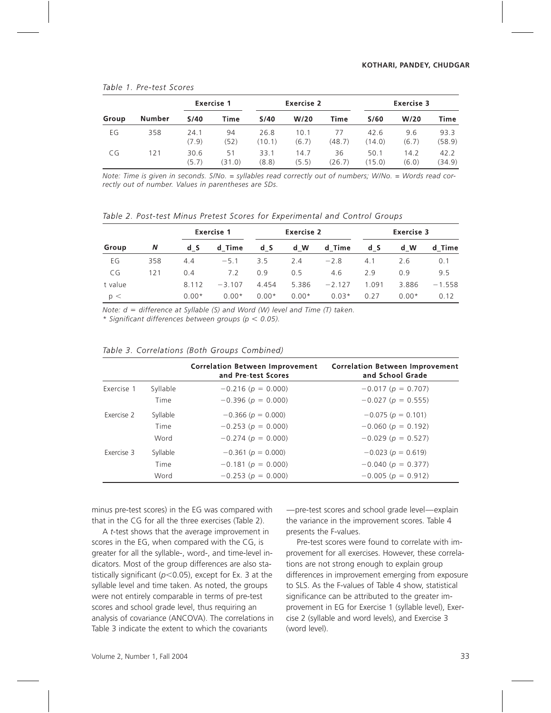| Group | Number | <b>Exercise 1</b> |              | <b>Exercise 2</b> |               |              | <b>Exercise 3</b> |               |                |
|-------|--------|-------------------|--------------|-------------------|---------------|--------------|-------------------|---------------|----------------|
|       |        | S/40              | Time         | S/40              | W/20          | Time         | S/60              | W/20          | Time           |
| EG    | 358    | 24.1<br>(7.9)     | 94<br>(52)   | 26.8<br>(10.1)    | 10.1<br>(6.7) | 77<br>(48.7) | 42.6<br>(14.0)    | 9.6<br>(6.7)  | 93.3<br>(58.9) |
| CG    | 121    | 30.6<br>(5.7)     | 51<br>(31.0) | 33.1<br>(8.8)     | 14.7<br>(5.5) | 36<br>(26.7) | 50.1<br>(15.0)    | 14.2<br>(6.0) | 42.2<br>(34.9) |

#### Table 1. Pre-test Scores

*Note: Time is given in seconds. S/No. = syllables read correctly out of numbers; W/No. = Words read correctly out of number. Values in parentheses are SDs.*

Table 2. Post-test Minus Pretest Scores for Experimental and Control Groups

| Group   | N   |         | <b>Exercise 1</b> |         | <b>Exercise 2</b> |          |       | Exercise 3 |          |  |
|---------|-----|---------|-------------------|---------|-------------------|----------|-------|------------|----------|--|
|         |     | d S     | d Time            | d S     | d W               | d Time   | d S   | d W        | d Time   |  |
| EG      | 358 | 4.4     | $-5.1$            | 3.5     | 2.4               | $-2.8$   | 4.1   | 2.6        | 0.1      |  |
| CG      | 121 | 0.4     | 7.2               | 0.9     | 0.5               | 4.6      | 2.9   | 0.9        | 9.5      |  |
| t value |     | 8.112   | $-3.107$          | 4.454   | 5.386             | $-2.127$ | 1.091 | 3.886      | $-1.558$ |  |
| p <     |     | $0.00*$ | $0.00*$           | $0.00*$ | $0.00*$           | $0.03*$  | 0.27  | $0.00*$    | 0.12     |  |

*Note: d difference at Syllable (S) and Word (W) level and Time (T) taken.*

*\* Signiªcant differences between groups (p 0.05).*

| Table 3. Correlations (Both Groups Combined) |  |  |
|----------------------------------------------|--|--|
|                                              |  |  |

|            |          | <b>Correlation Between Improvement</b><br>and Pre-test Scores | <b>Correlation Between Improvement</b><br>and School Grade |
|------------|----------|---------------------------------------------------------------|------------------------------------------------------------|
| Exercise 1 | Syllable | $-0.216$ ( $p = 0.000$ )                                      | $-0.017(p = 0.707)$                                        |
|            | Time     | $-0.396$ ( $p = 0.000$ )                                      | $-0.027$ ( $p = 0.555$ )                                   |
| Exercise 2 | Syllable | $-0.366(p = 0.000)$                                           | $-0.075(p = 0.101)$                                        |
|            | Time     | $-0.253(p = 0.000)$                                           | $-0.060$ ( $p = 0.192$ )                                   |
|            | Word     | $-0.274(p = 0.000)$                                           | $-0.029(p = 0.527)$                                        |
| Exercise 3 | Syllable | $-0.361(p = 0.000)$                                           | $-0.023(p = 0.619)$                                        |
|            | Time     | $-0.181(p = 0.000)$                                           | $-0.040(p = 0.377)$                                        |
|            | Word     | $-0.253(p = 0.000)$                                           | $-0.005(p = 0.912)$                                        |

minus pre-test scores) in the EG was compared with that in the CG for all the three exercises (Table 2).

A *t*-test shows that the average improvement in scores in the EG, when compared with the CG, is greater for all the syllable-, word-, and time-level indicators. Most of the group differences are also statistically significant ( $p$ <0.05), except for Ex. 3 at the syllable level and time taken. As noted, the groups were not entirely comparable in terms of pre-test scores and school grade level, thus requiring an analysis of covariance (ANCOVA). The correlations in Table 3 indicate the extent to which the covariants

—pre-test scores and school grade level—explain the variance in the improvement scores. Table 4 presents the F-values.

Pre-test scores were found to correlate with improvement for all exercises. However, these correlations are not strong enough to explain group differences in improvement emerging from exposure to SLS. As the F-values of Table 4 show, statistical significance can be attributed to the greater improvement in EG for Exercise 1 (syllable level), Exercise 2 (syllable and word levels), and Exercise 3 (word level).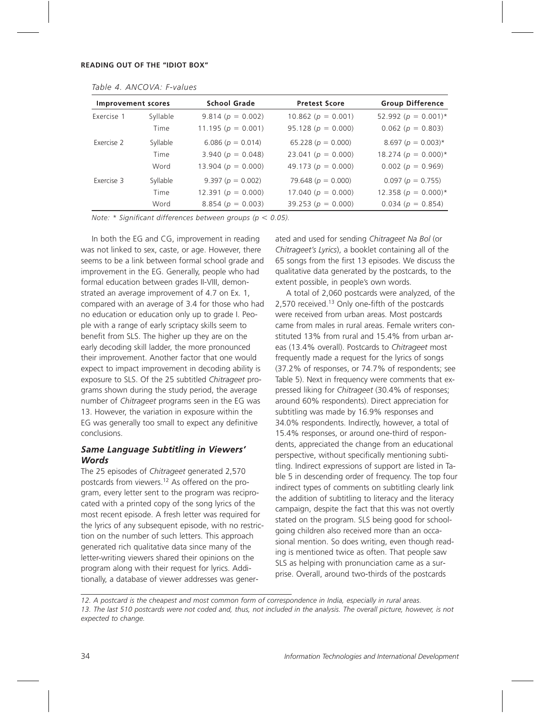| <b>Improvement scores</b> |          | <b>School Grade</b>    | <b>Pretest Score</b>   | <b>Group Difference</b>   |  |
|---------------------------|----------|------------------------|------------------------|---------------------------|--|
| Exercise 1                | Syllable | 9.814 ( $p = 0.002$ )  | 10.862 ( $p = 0.001$ ) | 52.992 ( $p = 0.001$ )*   |  |
|                           | Time     | 11.195 ( $p = 0.001$ ) | 95.128 ( $p = 0.000$ ) | $0.062$ ( $p = 0.803$ )   |  |
| Exercise 2                | Syllable | 6.086 ( $p = 0.014$ )  | 65.228 ( $p = 0.000$ ) | $8.697 (p = 0.003)^*$     |  |
|                           | Time     | 3.940 ( $p = 0.048$ )  | 23.041 ( $p = 0.000$ ) | $18.274$ ( $p = 0.000$ )* |  |
|                           | Word     | 13.904 ( $p = 0.000$ ) | 49.173 ( $p = 0.000$ ) | $0.002$ ( $p = 0.969$ )   |  |
| Exercise 3                | Syllable | 9.397 ( $p = 0.002$ )  | 79.648 ( $p = 0.000$ ) | $0.097(p = 0.755)$        |  |
|                           | Time     | 12.391 ( $p = 0.000$ ) | 17.040 ( $p = 0.000$ ) | 12.358 ( $p = 0.000$ )*   |  |
|                           | Word     | 8.854 ( $p = 0.003$ )  | 39.253 ( $p = 0.000$ ) | $0.034$ ( $p = 0.854$ )   |  |

*Table 4. ANCOVA: F-values*

*Note:* \* Significant differences between groups ( $p < 0.05$ ).

In both the EG and CG, improvement in reading was not linked to sex, caste, or age. However, there seems to be a link between formal school grade and improvement in the EG. Generally, people who had formal education between grades II-VIII, demonstrated an average improvement of 4.7 on Ex. 1, compared with an average of 3.4 for those who had no education or education only up to grade I. People with a range of early scriptacy skills seem to benefit from SLS. The higher up they are on the early decoding skill ladder, the more pronounced their improvement. Another factor that one would expect to impact improvement in decoding ability is exposure to SLS. Of the 25 subtitled *Chitrageet* programs shown during the study period, the average number of *Chitrageet* programs seen in the EG was 13. However, the variation in exposure within the EG was generally too small to expect any definitive conclusions.

### Same Language Subtitling in Viewers' **Words**

The 25 episodes of *Chitrageet* generated 2,570 postcards from viewers.12 As offered on the program, every letter sent to the program was reciprocated with a printed copy of the song lyrics of the most recent episode. A fresh letter was required for the lyrics of any subsequent episode, with no restriction on the number of such letters. This approach generated rich qualitative data since many of the letter-writing viewers shared their opinions on the program along with their request for lyrics. Additionally, a database of viewer addresses was gener-

ated and used for sending *Chitrageet Na Bol* (or *Chitrageet's Lyrics*), a booklet containing all of the 65 songs from the first 13 episodes. We discuss the qualitative data generated by the postcards, to the extent possible, in people's own words.

A total of 2,060 postcards were analyzed, of the 2,570 received.<sup>13</sup> Only one-fifth of the postcards were received from urban areas. Most postcards came from males in rural areas. Female writers constituted 13% from rural and 15.4% from urban areas (13.4% overall). Postcards to *Chitrageet* most frequently made a request for the lyrics of songs (37.2% of responses, or 74.7% of respondents; see Table 5). Next in frequency were comments that expressed liking for *Chitrageet* (30.4% of responses; around 60% respondents). Direct appreciation for subtitling was made by 16.9% responses and 34.0% respondents. Indirectly, however, a total of 15.4% responses, or around one-third of respondents, appreciated the change from an educational perspective, without specifically mentioning subtitling. Indirect expressions of support are listed in Table 5 in descending order of frequency. The top four indirect types of comments on subtitling clearly link the addition of subtitling to literacy and the literacy campaign, despite the fact that this was not overtly stated on the program. SLS being good for schoolgoing children also received more than an occasional mention. So does writing, even though reading is mentioned twice as often. That people saw SLS as helping with pronunciation came as a surprise. Overall, around two-thirds of the postcards

*<sup>12.</sup> A postcard is the cheapest and most common form of correspondence in India, especially in rural areas. 13. The last 510 postcards were not coded and, thus, not included in the analysis. The overall picture, however, is not expected to change.*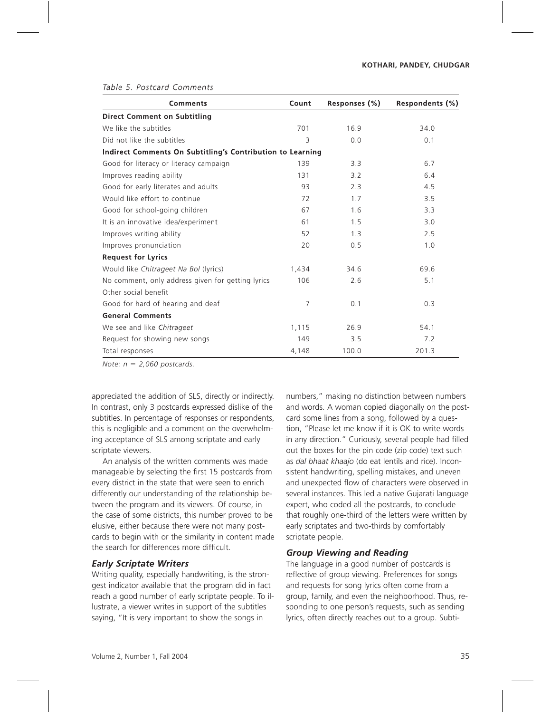| Comments                                                          | Count | Responses (%) | Respondents (%) |
|-------------------------------------------------------------------|-------|---------------|-----------------|
| <b>Direct Comment on Subtitling</b>                               |       |               |                 |
| We like the subtitles                                             | 701   | 16.9          | 34.0            |
| Did not like the subtitles                                        | 3     | 0.0           | 0.1             |
| <b>Indirect Comments On Subtitling's Contribution to Learning</b> |       |               |                 |
| Good for literacy or literacy campaign                            | 139   | 3.3           | 6.7             |
| Improves reading ability                                          | 131   | 3.2           | 6.4             |
| Good for early literates and adults                               | 93    | 2.3           | 4.5             |
| Would like effort to continue                                     | 72    | 1.7           | 3.5             |
| Good for school-going children                                    | 67    | 1.6           | 3.3             |
| It is an innovative idea/experiment                               | 61    | 1.5           | 3.0             |
| Improves writing ability                                          | 52    | 1.3           | 2.5             |
| Improves pronunciation                                            | 20    | 0.5           | 1.0             |
| <b>Request for Lyrics</b>                                         |       |               |                 |
| Would like Chitrageet Na Bol (lyrics)                             | 1,434 | 34.6          | 69.6            |
| No comment, only address given for getting lyrics                 | 106   | 2.6           | 5.1             |
| Other social benefit                                              |       |               |                 |
| Good for hard of hearing and deaf                                 | 7     | 0.1           | 0.3             |
| <b>General Comments</b>                                           |       |               |                 |
| We see and like Chitrageet                                        | 1,115 | 26.9          | 54.1            |
| Request for showing new songs                                     | 149   | 3.5           | 7.2             |
| Total responses                                                   | 4,148 | 100.0         | 201.3           |

*Note:*  $n = 2,060$  postcards.

appreciated the addition of SLS, directly or indirectly. In contrast, only 3 postcards expressed dislike of the subtitles. In percentage of responses or respondents, this is negligible and a comment on the overwhelming acceptance of SLS among scriptate and early scriptate viewers.

An analysis of the written comments was made manageable by selecting the first 15 postcards from every district in the state that were seen to enrich differently our understanding of the relationship between the program and its viewers. Of course, in the case of some districts, this number proved to be elusive, either because there were not many postcards to begin with or the similarity in content made the search for differences more difficult

#### **Early Scriptate Writers**

Writing quality, especially handwriting, is the strongest indicator available that the program did in fact reach a good number of early scriptate people. To illustrate, a viewer writes in support of the subtitles saying, "It is very important to show the songs in

numbers," making no distinction between numbers and words. A woman copied diagonally on the postcard some lines from a song, followed by a question, "Please let me know if it is OK to write words in any direction." Curiously, several people had filled out the boxes for the pin code (zip code) text such as *dal bhaat khaajo* (do eat lentils and rice). Inconsistent handwriting, spelling mistakes, and uneven and unexpected flow of characters were observed in several instances. This led a native Gujarati language expert, who coded all the postcards, to conclude that roughly one-third of the letters were written by early scriptates and two-thirds by comfortably scriptate people.

### **Group Viewing and Reading**

The language in a good number of postcards is reflective of group viewing. Preferences for songs and requests for song lyrics often come from a group, family, and even the neighborhood. Thus, responding to one person's requests, such as sending lyrics, often directly reaches out to a group. Subti-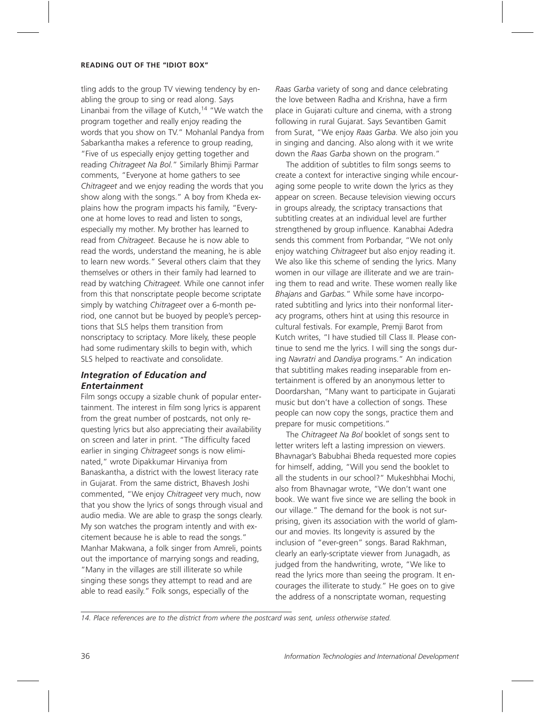tling adds to the group TV viewing tendency by enabling the group to sing or read along. Says Linanbai from the village of Kutch, $14$  "We watch the program together and really enjoy reading the words that you show on TV." Mohanlal Pandya from Sabarkantha makes a reference to group reading, "Five of us especially enjoy getting together and reading *Chitrageet Na Bol.*" Similarly Bhimji Parmar comments, "Everyone at home gathers to see *Chitrageet* and we enjoy reading the words that you show along with the songs." A boy from Kheda explains how the program impacts his family, "Everyone at home loves to read and listen to songs, especially my mother. My brother has learned to read from *Chitrageet.* Because he is now able to read the words, understand the meaning, he is able to learn new words." Several others claim that they themselves or others in their family had learned to read by watching *Chitrageet.* While one cannot infer from this that nonscriptate people become scriptate simply by watching *Chitrageet* over a 6-month period, one cannot but be buoyed by people's perceptions that SLS helps them transition from nonscriptacy to scriptacy. More likely, these people had some rudimentary skills to begin with, which SLS helped to reactivate and consolidate.

### **Integration of Education and Entertainment**

Film songs occupy a sizable chunk of popular entertainment. The interest in film song lyrics is apparent from the great number of postcards, not only requesting lyrics but also appreciating their availability on screen and later in print. "The difficulty faced earlier in singing *Chitrageet* songs is now eliminated," wrote Dipakkumar Hirvaniya from Banaskantha, a district with the lowest literacy rate in Gujarat. From the same district, Bhavesh Joshi commented, "We enjoy *Chitrageet* very much, now that you show the lyrics of songs through visual and audio media. We are able to grasp the songs clearly. My son watches the program intently and with excitement because he is able to read the songs." Manhar Makwana, a folk singer from Amreli, points out the importance of marrying songs and reading, "Many in the villages are still illiterate so while singing these songs they attempt to read and are able to read easily." Folk songs, especially of the

*Raas Garba* variety of song and dance celebrating the love between Radha and Krishna, have a firm place in Gujarati culture and cinema, with a strong following in rural Gujarat. Says Sevantiben Gamit from Surat, "We enjoy *Raas Garba.* We also join you in singing and dancing. Also along with it we write down the *Raas Garba* shown on the program."

The addition of subtitles to film songs seems to create a context for interactive singing while encouraging some people to write down the lyrics as they appear on screen. Because television viewing occurs in groups already, the scriptacy transactions that subtitling creates at an individual level are further strengthened by group influence. Kanabhai Adedra sends this comment from Porbandar, "We not only enjoy watching *Chitrageet* but also enjoy reading it. We also like this scheme of sending the lyrics. Many women in our village are illiterate and we are training them to read and write. These women really like *Bhajans* and *Garbas.*" While some have incorporated subtitling and lyrics into their nonformal literacy programs, others hint at using this resource in cultural festivals. For example, Premji Barot from Kutch writes, "I have studied till Class II. Please continue to send me the lyrics. I will sing the songs during *Navratri* and *Dandiya* programs." An indication that subtitling makes reading inseparable from entertainment is offered by an anonymous letter to Doordarshan, "Many want to participate in Gujarati music but don't have a collection of songs. These people can now copy the songs, practice them and prepare for music competitions."

The *Chitrageet Na Bol* booklet of songs sent to letter writers left a lasting impression on viewers. Bhavnagar's Babubhai Bheda requested more copies for himself, adding, "Will you send the booklet to all the students in our school?" Mukeshbhai Mochi, also from Bhavnagar wrote, "We don't want one book. We want five since we are selling the book in our village." The demand for the book is not surprising, given its association with the world of glamour and movies. Its longevity is assured by the inclusion of "ever-green" songs. Barad Rakhman, clearly an early-scriptate viewer from Junagadh, as judged from the handwriting, wrote, "We like to read the lyrics more than seeing the program. It encourages the illiterate to study." He goes on to give the address of a nonscriptate woman, requesting

*14. Place references are to the district from where the postcard was sent, unless otherwise stated.*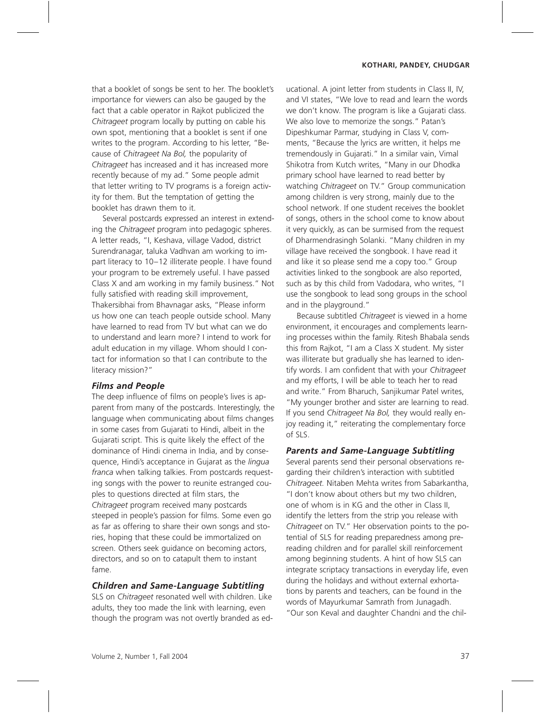that a booklet of songs be sent to her. The booklet's importance for viewers can also be gauged by the fact that a cable operator in Rajkot publicized the *Chitrageet* program locally by putting on cable his own spot, mentioning that a booklet is sent if one writes to the program. According to his letter, "Because of *Chitrageet Na Bol,* the popularity of *Chitrageet* has increased and it has increased more recently because of my ad." Some people admit that letter writing to TV programs is a foreign activity for them. But the temptation of getting the booklet has drawn them to it.

Several postcards expressed an interest in extending the *Chitrageet* program into pedagogic spheres. A letter reads, "I, Keshava, village Vadod, district Surendranagar, taluka Vadhvan am working to impart literacy to 10–12 illiterate people. I have found your program to be extremely useful. I have passed Class X and am working in my family business." Not fully satisfied with reading skill improvement, Thakersibhai from Bhavnagar asks, "Please inform us how one can teach people outside school. Many have learned to read from TV but what can we do to understand and learn more? I intend to work for adult education in my village. Whom should I contact for information so that I can contribute to the literacy mission?"

#### **Films and People**

The deep influence of films on people's lives is apparent from many of the postcards. Interestingly, the language when communicating about films changes in some cases from Gujarati to Hindi, albeit in the Gujarati script. This is quite likely the effect of the dominance of Hindi cinema in India, and by consequence, Hindi's acceptance in Gujarat as the *lingua franca* when talking talkies. From postcards requesting songs with the power to reunite estranged couples to questions directed at film stars, the *Chitrageet* program received many postcards steeped in people's passion for films. Some even go as far as offering to share their own songs and stories, hoping that these could be immortalized on screen. Others seek guidance on becoming actors, directors, and so on to catapult them to instant fame.

#### **Children and Same-Language Subtitling**

SLS on *Chitrageet* resonated well with children. Like adults, they too made the link with learning, even though the program was not overtly branded as educational. A joint letter from students in Class II, IV, and VI states, "We love to read and learn the words we don't know. The program is like a Gujarati class. We also love to memorize the songs." Patan's Dipeshkumar Parmar, studying in Class V, comments, "Because the lyrics are written, it helps me tremendously in Gujarati." In a similar vain, Vimal Shikotra from Kutch writes, "Many in our Dhodka primary school have learned to read better by watching *Chitrageet* on TV." Group communication among children is very strong, mainly due to the school network. If one student receives the booklet of songs, others in the school come to know about it very quickly, as can be surmised from the request of Dharmendrasingh Solanki. "Many children in my village have received the songbook. I have read it and like it so please send me a copy too." Group activities linked to the songbook are also reported, such as by this child from Vadodara, who writes, "I use the songbook to lead song groups in the school and in the playground."

Because subtitled *Chitrageet* is viewed in a home environment, it encourages and complements learning processes within the family. Ritesh Bhabala sends this from Rajkot, "I am a Class X student. My sister was illiterate but gradually she has learned to identify words. I am confident that with your *Chitrageet* and my efforts, I will be able to teach her to read and write." From Bharuch, Sanjikumar Patel writes, "My younger brother and sister are learning to read. If you send *Chitrageet Na Bol,* they would really enjoy reading it," reiterating the complementary force of SLS.

#### **Parents and Same-Language Subtitling**

Several parents send their personal observations regarding their children's interaction with subtitled *Chitrageet.* Nitaben Mehta writes from Sabarkantha, "I don't know about others but my two children, one of whom is in KG and the other in Class II, identify the letters from the strip you release with *Chitrageet* on TV." Her observation points to the potential of SLS for reading preparedness among prereading children and for parallel skill reinforcement among beginning students. A hint of how SLS can integrate scriptacy transactions in everyday life, even during the holidays and without external exhortations by parents and teachers, can be found in the words of Mayurkumar Samrath from Junagadh. "Our son Keval and daughter Chandni and the chil-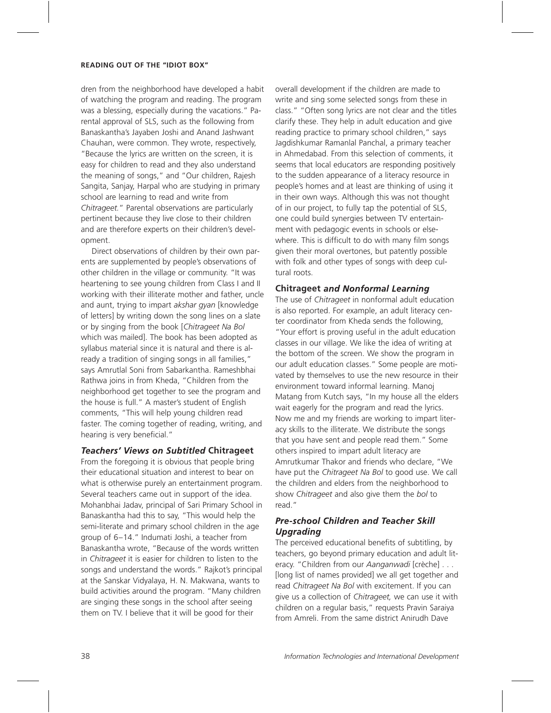dren from the neighborhood have developed a habit of watching the program and reading. The program was a blessing, especially during the vacations." Parental approval of SLS, such as the following from Banaskantha's Jayaben Joshi and Anand Jashwant Chauhan, were common. They wrote, respectively, "Because the lyrics are written on the screen, it is easy for children to read and they also understand the meaning of songs," and "Our children, Rajesh Sangita, Sanjay, Harpal who are studying in primary school are learning to read and write from *Chitrageet.*" Parental observations are particularly pertinent because they live close to their children and are therefore experts on their children's development.

Direct observations of children by their own parents are supplemented by people's observations of other children in the village or community. "It was heartening to see young children from Class I and II working with their illiterate mother and father, uncle and aunt, trying to impart *akshar gyan* [knowledge of letters] by writing down the song lines on a slate or by singing from the book [*Chitrageet Na Bol* which was mailed]. The book has been adopted as syllabus material since it is natural and there is already a tradition of singing songs in all families," says Amrutlal Soni from Sabarkantha. Rameshbhai Rathwa joins in from Kheda, "Children from the neighborhood get together to see the program and the house is full." A master's student of English comments, "This will help young children read faster. The coming together of reading, writing, and hearing is very beneficial."

### **Teachers' Views on Subtitled Chitrageet**

From the foregoing it is obvious that people bring their educational situation and interest to bear on what is otherwise purely an entertainment program. Several teachers came out in support of the idea. Mohanbhai Jadav, principal of Sari Primary School in Banaskantha had this to say, "This would help the semi-literate and primary school children in the age group of 6–14." Indumati Joshi, a teacher from Banaskantha wrote, "Because of the words written in *Chitrageet* it is easier for children to listen to the songs and understand the words." Rajkot's principal at the Sanskar Vidyalaya, H. N. Makwana, wants to build activities around the program. "Many children are singing these songs in the school after seeing them on TV. I believe that it will be good for their

overall development if the children are made to write and sing some selected songs from these in class." "Often song lyrics are not clear and the titles clarify these. They help in adult education and give reading practice to primary school children," says Jagdishkumar Ramanlal Panchal, a primary teacher in Ahmedabad. From this selection of comments, it seems that local educators are responding positively to the sudden appearance of a literacy resource in people's homes and at least are thinking of using it in their own ways. Although this was not thought of in our project, to fully tap the potential of SLS, one could build synergies between TV entertainment with pedagogic events in schools or elsewhere. This is difficult to do with many film songs given their moral overtones, but patently possible with folk and other types of songs with deep cultural roots.

#### **Chitrageet**

The use of *Chitrageet* in nonformal adult education is also reported. For example, an adult literacy center coordinator from Kheda sends the following, "Your effort is proving useful in the adult education classes in our village. We like the idea of writing at the bottom of the screen. We show the program in our adult education classes." Some people are motivated by themselves to use the new resource in their environment toward informal learning. Manoj Matang from Kutch says, "In my house all the elders wait eagerly for the program and read the lyrics. Now me and my friends are working to impart literacy skills to the illiterate. We distribute the songs that you have sent and people read them." Some others inspired to impart adult literacy are Amrutkumar Thakor and friends who declare, "We have put the *Chitrageet Na Bol* to good use. We call the children and elders from the neighborhood to show *Chitrageet* and also give them the *bol* to read."

## **Pre-school Children and Teacher Skill Uparading**

The perceived educational benefits of subtitling, by teachers, go beyond primary education and adult literacy. "Children from our *Aanganwadi* [crèche] . . . [long list of names provided] we all get together and read *Chitrageet Na Bol* with excitement. If you can give us a collection of *Chitrageet,* we can use it with children on a regular basis," requests Pravin Saraiya from Amreli. From the same district Anirudh Dave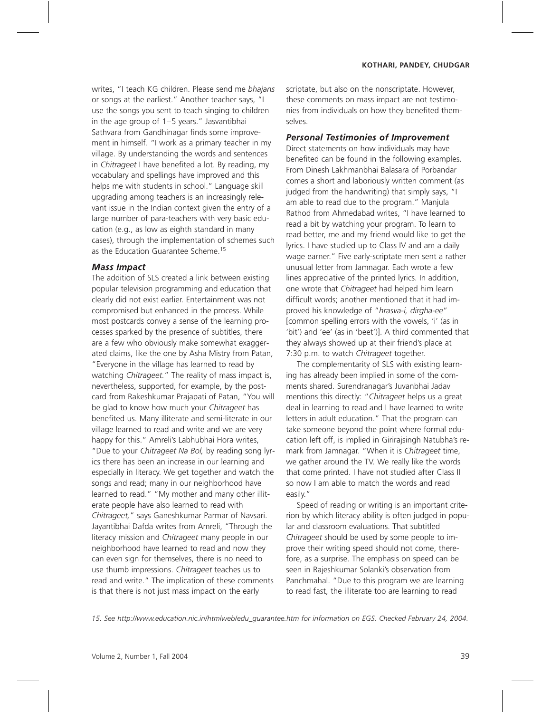writes, "I teach KG children. Please send me *bhajans* or songs at the earliest." Another teacher says, "I use the songs you sent to teach singing to children in the age group of 1–5 years." Jasvantibhai Sathvara from Gandhinagar finds some improvement in himself. "I work as a primary teacher in my village. By understanding the words and sentences in *Chitrageet* I have benefited a lot. By reading, my vocabulary and spellings have improved and this helps me with students in school." Language skill upgrading among teachers is an increasingly relevant issue in the Indian context given the entry of a large number of para-teachers with very basic education (e.g., as low as eighth standard in many cases), through the implementation of schemes such as the Education Guarantee Scheme.15

#### **Mass Impact**

The addition of SLS created a link between existing popular television programming and education that clearly did not exist earlier. Entertainment was not compromised but enhanced in the process. While most postcards convey a sense of the learning processes sparked by the presence of subtitles, there are a few who obviously make somewhat exaggerated claims, like the one by Asha Mistry from Patan, "Everyone in the village has learned to read by watching *Chitrageet.*" The reality of mass impact is, nevertheless, supported, for example, by the postcard from Rakeshkumar Prajapati of Patan, "You will be glad to know how much your *Chitrageet* has benefited us. Many illiterate and semi-literate in our village learned to read and write and we are very happy for this." Amreli's Labhubhai Hora writes, "Due to your *Chitrageet Na Bol,* by reading song lyrics there has been an increase in our learning and especially in literacy. We get together and watch the songs and read; many in our neighborhood have learned to read." "My mother and many other illiterate people have also learned to read with *Chitrageet,*" says Ganeshkumar Parmar of Navsari. Jayantibhai Dafda writes from Amreli, "Through the literacy mission and *Chitrageet* many people in our neighborhood have learned to read and now they can even sign for themselves, there is no need to use thumb impressions. *Chitrageet* teaches us to read and write." The implication of these comments is that there is not just mass impact on the early

scriptate, but also on the nonscriptate. However, these comments on mass impact are not testimonies from individuals on how they benefited themselves.

### **Personal Testimonies of Improvement**

Direct statements on how individuals may have benefited can be found in the following examples. From Dinesh Lakhmanbhai Balasara of Porbandar comes a short and laboriously written comment (as judged from the handwriting) that simply says, "I am able to read due to the program." Manjula Rathod from Ahmedabad writes, "I have learned to read a bit by watching your program. To learn to read better, me and my friend would like to get the lyrics. I have studied up to Class IV and am a daily wage earner." Five early-scriptate men sent a rather unusual letter from Jamnagar. Each wrote a few lines appreciative of the printed lyrics. In addition, one wrote that *Chitrageet* had helped him learn difficult words; another mentioned that it had improved his knowledge of "*hrasva-i, dirgha-ee*" [common spelling errors with the vowels, 'i' (as in 'bit') and 'ee' (as in 'beet')]. A third commented that they always showed up at their friend's place at 7:30 p.m. to watch *Chitrageet* together.

The complementarity of SLS with existing learning has already been implied in some of the comments shared. Surendranagar's Juvanbhai Jadav mentions this directly: "*Chitrageet* helps us a great deal in learning to read and I have learned to write letters in adult education." That the program can take someone beyond the point where formal education left off, is implied in Girirajsingh Natubha's remark from Jamnagar. "When it is *Chitrageet* time, we gather around the TV. We really like the words that come printed. I have not studied after Class II so now I am able to match the words and read easily."

Speed of reading or writing is an important criterion by which literacy ability is often judged in popular and classroom evaluations. That subtitled *Chitrageet* should be used by some people to improve their writing speed should not come, therefore, as a surprise. The emphasis on speed can be seen in Rajeshkumar Solanki's observation from Panchmahal. "Due to this program we are learning to read fast, the illiterate too are learning to read

*15. See http://www.education.nic.in/htmlweb/edu\_guarantee.htm for information on EGS. Checked February 24, 2004.*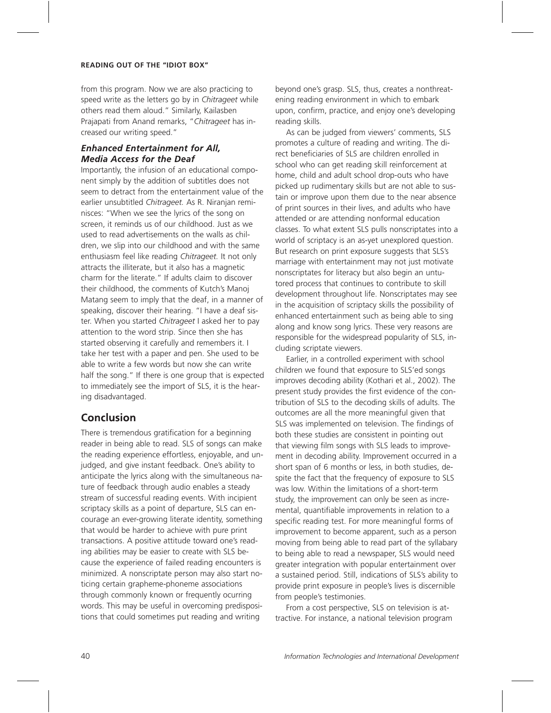from this program. Now we are also practicing to speed write as the letters go by in *Chitrageet* while others read them aloud." Similarly, Kailasben Prajapati from Anand remarks, "*Chitrageet* has increased our writing speed."

## **Enhanced Entertainment for All. Media Access for the Deaf**

Importantly, the infusion of an educational component simply by the addition of subtitles does not seem to detract from the entertainment value of the earlier unsubtitled *Chitrageet.* As R. Niranjan reminisces: "When we see the lyrics of the song on screen, it reminds us of our childhood. Just as we used to read advertisements on the walls as children, we slip into our childhood and with the same enthusiasm feel like reading *Chitrageet.* It not only attracts the illiterate, but it also has a magnetic charm for the literate." If adults claim to discover their childhood, the comments of Kutch's Manoj Matang seem to imply that the deaf, in a manner of speaking, discover their hearing. "I have a deaf sister. When you started *Chitrageet* I asked her to pay attention to the word strip. Since then she has started observing it carefully and remembers it. I take her test with a paper and pen. She used to be able to write a few words but now she can write half the song." If there is one group that is expected to immediately see the import of SLS, it is the hearing disadvantaged.

## **Conclusion**

There is tremendous gratification for a beginning reader in being able to read. SLS of songs can make the reading experience effortless, enjoyable, and unjudged, and give instant feedback. One's ability to anticipate the lyrics along with the simultaneous nature of feedback through audio enables a steady stream of successful reading events. With incipient scriptacy skills as a point of departure, SLS can encourage an ever-growing literate identity, something that would be harder to achieve with pure print transactions. A positive attitude toward one's reading abilities may be easier to create with SLS because the experience of failed reading encounters is minimized. A nonscriptate person may also start noticing certain grapheme-phoneme associations through commonly known or frequently ocurring words. This may be useful in overcoming predispositions that could sometimes put reading and writing

beyond one's grasp. SLS, thus, creates a nonthreatening reading environment in which to embark upon, confirm, practice, and enjoy one's developing reading skills.

As can be judged from viewers' comments, SLS promotes a culture of reading and writing. The direct beneficiaries of SLS are children enrolled in school who can get reading skill reinforcement at home, child and adult school drop-outs who have picked up rudimentary skills but are not able to sustain or improve upon them due to the near absence of print sources in their lives, and adults who have attended or are attending nonformal education classes. To what extent SLS pulls nonscriptates into a world of scriptacy is an as-yet unexplored question. But research on print exposure suggests that SLS's marriage with entertainment may not just motivate nonscriptates for literacy but also begin an untutored process that continues to contribute to skill development throughout life. Nonscriptates may see in the acquisition of scriptacy skills the possibility of enhanced entertainment such as being able to sing along and know song lyrics. These very reasons are responsible for the widespread popularity of SLS, including scriptate viewers.

Earlier, in a controlled experiment with school children we found that exposure to SLS'ed songs improves decoding ability (Kothari et al., 2002). The present study provides the first evidence of the contribution of SLS to the decoding skills of adults. The outcomes are all the more meaningful given that SLS was implemented on television. The findings of both these studies are consistent in pointing out that viewing film songs with SLS leads to improvement in decoding ability. Improvement occurred in a short span of 6 months or less, in both studies, despite the fact that the frequency of exposure to SLS was low. Within the limitations of a short-term study, the improvement can only be seen as incremental, quantifiable improvements in relation to a specific reading test. For more meaningful forms of improvement to become apparent, such as a person moving from being able to read part of the syllabary to being able to read a newspaper, SLS would need greater integration with popular entertainment over a sustained period. Still, indications of SLS's ability to provide print exposure in people's lives is discernible from people's testimonies.

From a cost perspective, SLS on television is attractive. For instance, a national television program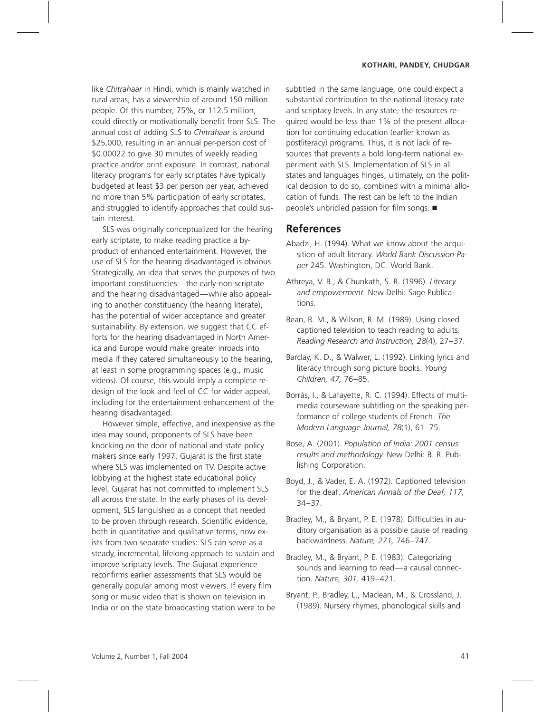like *Chitrahaar* in Hindi, which is mainly watched in rural areas, has a viewership of around 150 million people. Of this number, 75%, or 112.5 million, could directly or motivationally benefit from SLS. The annual cost of adding SLS to *Chitrahaar* is around \$25,000, resulting in an annual per-person cost of \$0.00022 to give 30 minutes of weekly reading practice and/or print exposure. In contrast, national literacy programs for early scriptates have typically budgeted at least \$3 per person per year, achieved no more than 5% participation of early scriptates, and struggled to identify approaches that could sustain interest.

SLS was originally conceptualized for the hearing early scriptate, to make reading practice a byproduct of enhanced entertainment. However, the use of SLS for the hearing disadvantaged is obvious. Strategically, an idea that serves the purposes of two important constituencies—the early-non-scriptate and the hearing disadvantaged—while also appealing to another constituency (the hearing literate), has the potential of wider acceptance and greater sustainability. By extension, we suggest that CC efforts for the hearing disadvantaged in North America and Europe would make greater inroads into media if they catered simultaneously to the hearing, at least in some programming spaces (e.g., music videos). Of course, this would imply a complete redesign of the look and feel of CC for wider appeal, including for the entertainment enhancement of the hearing disadvantaged.

However simple, effective, and inexpensive as the idea may sound, proponents of SLS have been knocking on the door of national and state policy makers since early 1997. Gujarat is the first state where SLS was implemented on TV. Despite active lobbying at the highest state educational policy level, Gujarat has not committed to implement SLS all across the state. In the early phases of its development, SLS languished as a concept that needed to be proven through research. Scientific evidence, both in quantitative and qualitative terms, now exists from two separate studies: SLS can serve as a steady, incremental, lifelong approach to sustain and improve scriptacy levels. The Gujarat experience reconfirms earlier assessments that SLS would be generally popular among most viewers. If every film song or music video that is shown on television in India or on the state broadcasting station were to be subtitled in the same language, one could expect a substantial contribution to the national literacy rate and scriptacy levels. In any state, the resources required would be less than 1% of the present allocation for continuing education (earlier known as postliteracy) programs. Thus, it is not lack of resources that prevents a bold long-term national experiment with SLS. Implementation of SLS in all states and languages hinges, ultimately, on the political decision to do so, combined with a minimal allocation of funds. The rest can be left to the Indian people's unbridled passion for film songs. ■

## **References**

- Abadzi, H. (1994). What we know about the acquisition of adult literacy. *World Bank Discussion Paper* 245. Washington, DC. World Bank.
- Athreya, V. B., & Chunkath, S. R. (1996). *Literacy and empowerment.* New Delhi: Sage Publications.
- Bean, R. M., & Wilson, R. M. (1989). Using closed captioned television to teach reading to adults. *Reading Research and Instruction, 28*(4), 27–37.
- Barclay, K. D., & Walwer, L. (1992). Linking lyrics and literacy through song picture books. *Young Children, 47,* 76–85.
- Borrás, I., & Lafayette, R. C. (1994). Effects of multimedia courseware subtitling on the speaking performance of college students of French. *The Modern Language Journal, 78*(1), 61–75.
- Bose, A. (2001). *Population of India: 2001 census results and methodology.* New Delhi: B. R. Publishing Corporation.
- Boyd, J., & Vader, E. A. (1972). Captioned television for the deaf. *American Annals of the Deaf, 117,* 34–37.
- Bradley, M., & Bryant, P. E. (1978). Difficulties in auditory organisation as a possible cause of reading backwardness. *Nature, 271,* 746–747.
- Bradley, M., & Bryant, P. E. (1983). Categorizing sounds and learning to read—a causal connection. *Nature, 301,* 419–421.
- Bryant, P., Bradley, L., Maclean, M., & Crossland, J. (1989). Nursery rhymes, phonological skills and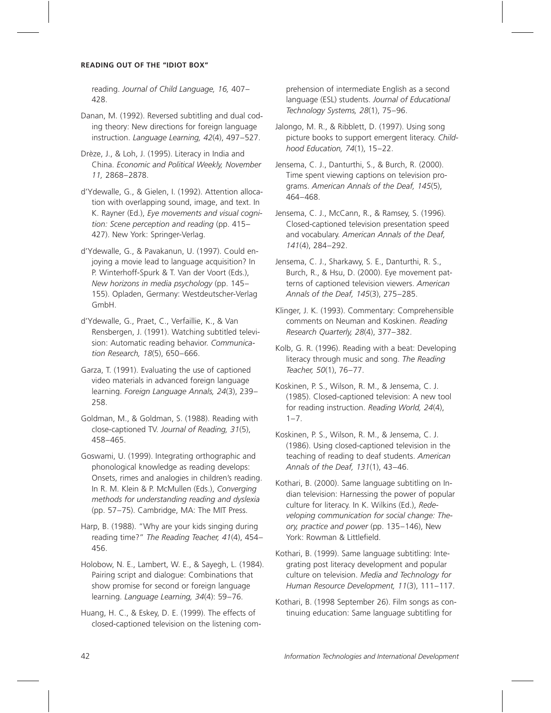reading. *Journal of Child Language, 16,* 407– 428.

Danan, M. (1992). Reversed subtitling and dual coding theory: New directions for foreign language instruction. *Language Learning, 42*(4), 497–527.

Drèze, J., & Loh, J. (1995). Literacy in India and China. *Economic and Political Weekly, November 11,* 2868–2878.

d'Ydewalle, G., & Gielen, I. (1992). Attention allocation with overlapping sound, image, and text. In K. Rayner (Ed.), *Eye movements and visual cognition: Scene perception and reading* (pp. 415– 427). New York: Springer-Verlag.

d'Ydewalle, G., & Pavakanun, U. (1997). Could enjoying a movie lead to language acquisition? In P. Winterhoff-Spurk & T. Van der Voort (Eds.), *New horizons in media psychology* (pp. 145– 155). Opladen, Germany: Westdeutscher-Verlag GmbH.

d'Ydewalle, G., Praet, C., Verfaillie, K., & Van Rensbergen, J. (1991). Watching subtitled television: Automatic reading behavior. *Communication Research, 18*(5), 650–666.

Garza, T. (1991). Evaluating the use of captioned video materials in advanced foreign language learning. *Foreign Language Annals, 24*(3), 239– 258.

Goldman, M., & Goldman, S. (1988). Reading with close-captioned TV. *Journal of Reading, 31*(5), 458–465.

Goswami, U. (1999). Integrating orthographic and phonological knowledge as reading develops: Onsets, rimes and analogies in children's reading. In R. M. Klein & P. McMullen (Eds.), *Converging methods for understanding reading and dyslexia* (pp. 57–75). Cambridge, MA: The MIT Press.

Harp, B. (1988). "Why are your kids singing during reading time?" *The Reading Teacher, 41*(4), 454– 456.

Holobow, N. E., Lambert, W. E., & Sayegh, L. (1984). Pairing script and dialogue: Combinations that show promise for second or foreign language learning. *Language Learning, 34*(4): 59–76.

Huang, H. C., & Eskey, D. E. (1999). The effects of closed-captioned television on the listening comprehension of intermediate English as a second language (ESL) students. *Journal of Educational Technology Systems, 28*(1), 75–96.

Jalongo, M. R., & Ribblett, D. (1997). Using song picture books to support emergent literacy. *Childhood Education, 74*(1), 15–22.

Jensema, C. J., Danturthi, S., & Burch, R. (2000). Time spent viewing captions on television programs. *American Annals of the Deaf, 145*(5), 464–468.

Jensema, C. J., McCann, R., & Ramsey, S. (1996). Closed-captioned television presentation speed and vocabulary. *American Annals of the Deaf, 141*(4), 284–292.

Jensema, C. J., Sharkawy, S. E., Danturthi, R. S., Burch, R., & Hsu, D. (2000). Eye movement patterns of captioned television viewers. *American Annals of the Deaf, 145*(3), 275–285.

Klinger, J. K. (1993). Commentary: Comprehensible comments on Neuman and Koskinen. *Reading Research Quarterly, 28*(4), 377–382.

Kolb, G. R. (1996). Reading with a beat: Developing literacy through music and song. *The Reading Teacher, 50*(1), 76–77.

Koskinen, P. S., Wilson, R. M., & Jensema, C. J. (1985). Closed-captioned television: A new tool for reading instruction. *Reading World, 24*(4),  $1 - 7$ .

Koskinen, P. S., Wilson, R. M., & Jensema, C. J. (1986). Using closed-captioned television in the teaching of reading to deaf students. *American Annals of the Deaf, 131*(1), 43–46.

Kothari, B. (2000). Same language subtitling on Indian television: Harnessing the power of popular culture for literacy. In K. Wilkins (Ed.), *Redeveloping communication for social change: Theory, practice and power* (pp. 135–146), New York: Rowman & Littlefield.

Kothari, B. (1999). Same language subtitling: Integrating post literacy development and popular culture on television. *Media and Technology for Human Resource Development, 11*(3), 111–117.

Kothari, B. (1998 September 26). Film songs as continuing education: Same language subtitling for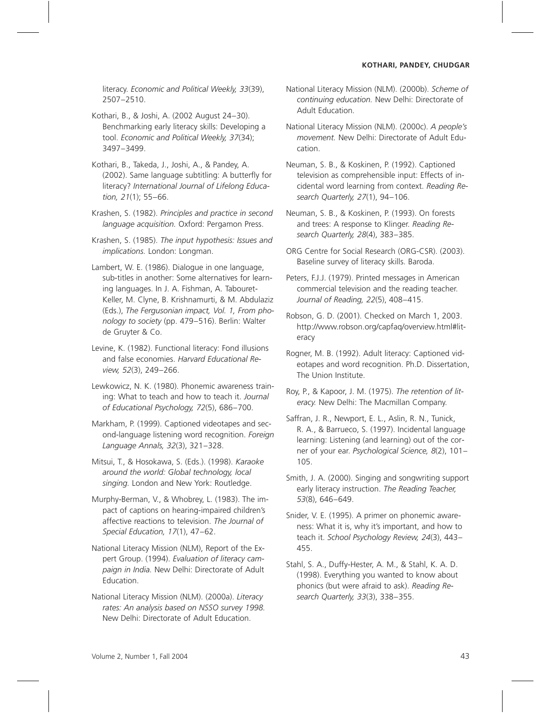literacy. *Economic and Political Weekly, 33*(39), 2507–2510.

Kothari, B., & Joshi, A. (2002 August 24–30). Benchmarking early literacy skills: Developing a tool. *Economic and Political Weekly, 37*(34); 3497–3499.

Kothari, B., Takeda, J., Joshi, A., & Pandey, A. (2002). Same language subtitling: A butterfly for literacy? *International Journal of Lifelong Education, 21*(1); 55–66.

Krashen, S. (1982). *Principles and practice in second language acquisition.* Oxford: Pergamon Press.

Krashen, S. (1985). *The input hypothesis: Issues and implications.* London: Longman.

Lambert, W. E. (1986). Dialogue in one language, sub-titles in another: Some alternatives for learning languages. In J. A. Fishman, A. Tabouret-Keller, M. Clyne, B. Krishnamurti, & M. Abdulaziz (Eds.), *The Fergusonian impact, Vol. 1, From phonology to society* (pp. 479–516). Berlin: Walter de Gruyter & Co.

Levine, K. (1982). Functional literacy: Fond illusions and false economies. *Harvard Educational Review, 52*(3), 249–266.

Lewkowicz, N. K. (1980). Phonemic awareness training: What to teach and how to teach it. *Journal of Educational Psychology, 72*(5), 686–700.

Markham, P. (1999). Captioned videotapes and second-language listening word recognition. *Foreign Language Annals, 32*(3), 321–328.

Mitsui, T., & Hosokawa, S. (Eds.). (1998). *Karaoke around the world: Global technology, local singing.* London and New York: Routledge.

Murphy-Berman, V., & Whobrey, L. (1983). The impact of captions on hearing-impaired children's affective reactions to television. *The Journal of Special Education, 17*(1), 47–62.

National Literacy Mission (NLM), Report of the Expert Group. (1994). *Evaluation of literacy campaign in India.* New Delhi: Directorate of Adult Education.

National Literacy Mission (NLM). (2000a). *Literacy rates: An analysis based on NSSO survey 1998.* New Delhi: Directorate of Adult Education.

National Literacy Mission (NLM). (2000b). *Scheme of continuing education.* New Delhi: Directorate of Adult Education.

National Literacy Mission (NLM). (2000c). *A people's movement.* New Delhi: Directorate of Adult Education.

Neuman, S. B., & Koskinen, P. (1992). Captioned television as comprehensible input: Effects of incidental word learning from context. *Reading Research Quarterly, 27*(1), 94–106.

Neuman, S. B., & Koskinen, P. (1993). On forests and trees: A response to Klinger. *Reading Research Quarterly, 28*(4), 383–385.

ORG Centre for Social Research (ORG-CSR). (2003). Baseline survey of literacy skills. Baroda.

Peters, F.J.J. (1979). Printed messages in American commercial television and the reading teacher. *Journal of Reading, 22*(5), 408–415.

Robson, G. D. (2001). Checked on March 1, 2003. http://www.robson.org/capfaq/overview.html#literacy

Rogner, M. B. (1992). Adult literacy: Captioned videotapes and word recognition. Ph.D. Dissertation, The Union Institute.

Roy, P., & Kapoor, J. M. (1975). *The retention of literacy.* New Delhi: The Macmillan Company.

Saffran, J. R., Newport, E. L., Aslin, R. N., Tunick, R. A., & Barrueco, S. (1997). Incidental language learning: Listening (and learning) out of the corner of your ear. *Psychological Science, 8*(2), 101– 105.

Smith, J. A. (2000). Singing and songwriting support early literacy instruction. *The Reading Teacher, 53*(8), 646–649.

Snider, V. E. (1995). A primer on phonemic awareness: What it is, why it's important, and how to teach it. *School Psychology Review, 24*(3), 443– 455.

Stahl, S. A., Duffy-Hester, A. M., & Stahl, K. A. D. (1998). Everything you wanted to know about phonics (but were afraid to ask). *Reading Research Quarterly, 33*(3), 338–355.